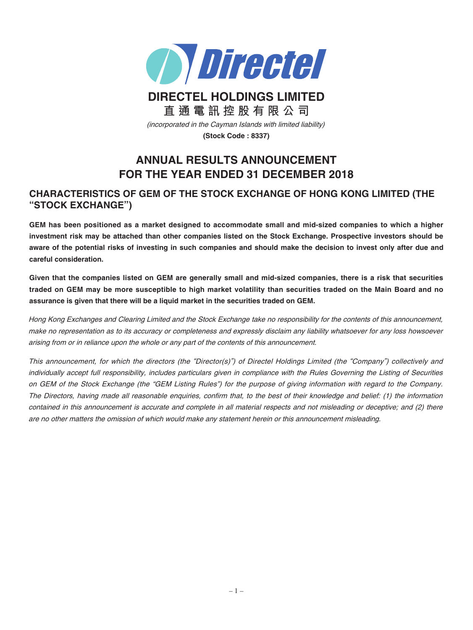

# **DIRECTEL HOLDINGS LIMITED 直通電訊控股有限公司**

(incorporated in the Cayman Islands with limited liability)

**(Stock Code : 8337)**

# **ANNUAL RESULTS ANNOUNCEMENT FOR THE YEAR ENDED 31 DECEMBER 2018**

# **CHARACTERISTICS OF GEM OF THE STOCK EXCHANGE OF HONG KONG LIMITED (THE "STOCK EXCHANGE")**

**GEM has been positioned as a market designed to accommodate small and mid-sized companies to which a higher investment risk may be attached than other companies listed on the Stock Exchange. Prospective investors should be aware of the potential risks of investing in such companies and should make the decision to invest only after due and careful consideration.**

**Given that the companies listed on GEM are generally small and mid-sized companies, there is a risk that securities traded on GEM may be more susceptible to high market volatility than securities traded on the Main Board and no assurance is given that there will be a liquid market in the securities traded on GEM.**

Hong Kong Exchanges and Clearing Limited and the Stock Exchange take no responsibility for the contents of this announcement, make no representation as to its accuracy or completeness and expressly disclaim any liability whatsoever for any loss howsoever arising from or in reliance upon the whole or any part of the contents of this announcement.

This announcement, for which the directors (the "Director(s)") of Directel Holdings Limited (the "Company") collectively and individually accept full responsibility, includes particulars given in compliance with the Rules Governing the Listing of Securities on GEM of the Stock Exchange (the "GEM Listing Rules") for the purpose of giving information with regard to the Company. The Directors, having made all reasonable enquiries, confirm that, to the best of their knowledge and belief: (1) the information contained in this announcement is accurate and complete in all material respects and not misleading or deceptive; and (2) there are no other matters the omission of which would make any statement herein or this announcement misleading.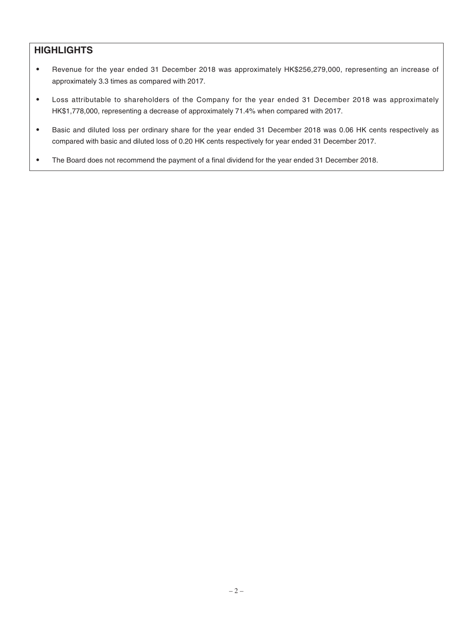# **HIGHLIGHTS**

- Revenue for the year ended 31 December 2018 was approximately HK\$256,279,000, representing an increase of approximately 3.3 times as compared with 2017.
- ‧ Loss attributable to shareholders of the Company for the year ended 31 December 2018 was approximately HK\$1,778,000, representing a decrease of approximately 71.4% when compared with 2017.
- ‧ Basic and diluted loss per ordinary share for the year ended 31 December 2018 was 0.06 HK cents respectively as compared with basic and diluted loss of 0.20 HK cents respectively for year ended 31 December 2017.
- The Board does not recommend the payment of a final dividend for the year ended 31 December 2018.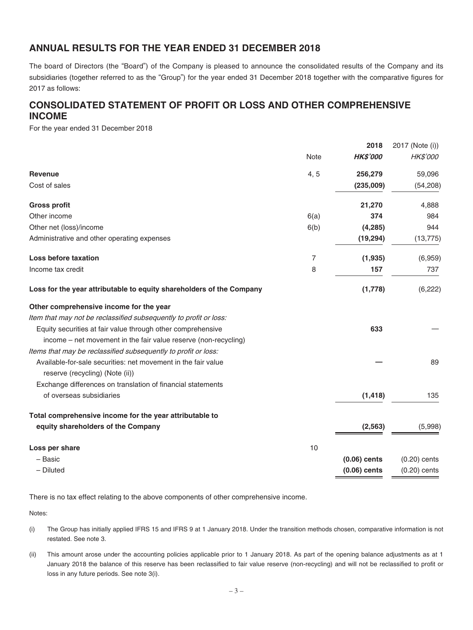# **ANNUAL RESULTS FOR THE YEAR ENDED 31 DECEMBER 2018**

The board of Directors (the "Board") of the Company is pleased to announce the consolidated results of the Company and its subsidiaries (together referred to as the "Group") for the year ended 31 December 2018 together with the comparative figures for 2017 as follows:

# **CONSOLIDATED STATEMENT OF PROFIT OR LOSS AND OTHER COMPREHENSIVE INCOME**

For the year ended 31 December 2018

|                                                                      |             | 2018            | 2017 (Note (i)) |
|----------------------------------------------------------------------|-------------|-----------------|-----------------|
|                                                                      | <b>Note</b> | <b>HK\$'000</b> | HK\$'000        |
| <b>Revenue</b>                                                       | 4, 5        | 256,279         | 59,096          |
| Cost of sales                                                        |             | (235,009)       | (54, 208)       |
| <b>Gross profit</b>                                                  |             | 21,270          | 4,888           |
| Other income                                                         | 6(a)        | 374             | 984             |
| Other net (loss)/income                                              | 6(b)        | (4, 285)        | 944             |
| Administrative and other operating expenses                          |             | (19, 294)       | (13, 775)       |
| Loss before taxation                                                 | 7           | (1,935)         | (6,959)         |
| Income tax credit                                                    | 8           | 157             | 737             |
| Loss for the year attributable to equity shareholders of the Company |             | (1,778)         | (6, 222)        |
| Other comprehensive income for the year                              |             |                 |                 |
| Item that may not be reclassified subsequently to profit or loss:    |             |                 |                 |
| Equity securities at fair value through other comprehensive          |             | 633             |                 |
| income – net movement in the fair value reserve (non-recycling)      |             |                 |                 |
| Items that may be reclassified subsequently to profit or loss:       |             |                 |                 |
| Available-for-sale securities: net movement in the fair value        |             |                 | 89              |
| reserve (recycling) (Note (ii))                                      |             |                 |                 |
| Exchange differences on translation of financial statements          |             |                 |                 |
| of overseas subsidiaries                                             |             | (1, 418)        | 135             |
| Total comprehensive income for the year attributable to              |             |                 |                 |
| equity shareholders of the Company                                   |             | (2, 563)        | (5,998)         |
| Loss per share                                                       | 10          |                 |                 |
| - Basic                                                              |             | $(0.06)$ cents  | $(0.20)$ cents  |
| - Diluted                                                            |             | $(0.06)$ cents  | $(0.20)$ cents  |
|                                                                      |             |                 |                 |

There is no tax effect relating to the above components of other comprehensive income.

Notes:

- (i) The Group has initially applied IFRS 15 and IFRS 9 at 1 January 2018. Under the transition methods chosen, comparative information is not restated. See note 3.
- (ii) This amount arose under the accounting policies applicable prior to 1 January 2018. As part of the opening balance adjustments as at 1 January 2018 the balance of this reserve has been reclassified to fair value reserve (non-recycling) and will not be reclassified to profit or loss in any future periods. See note 3(i).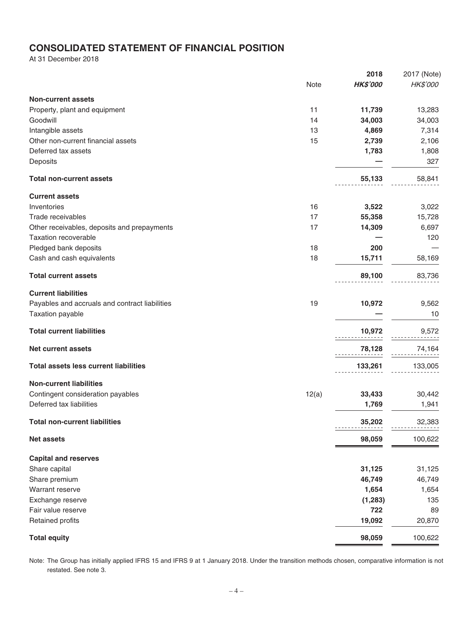# **CONSOLIDATED STATEMENT OF FINANCIAL POSITION**

At 31 December 2018

|                                                |             | 2018            | 2017 (Note) |
|------------------------------------------------|-------------|-----------------|-------------|
|                                                | <b>Note</b> | <b>HK\$'000</b> | HK\$'000    |
| <b>Non-current assets</b>                      |             |                 |             |
| Property, plant and equipment                  | 11          | 11,739          | 13,283      |
| Goodwill                                       | 14          | 34,003          | 34,003      |
| Intangible assets                              | 13          | 4,869           | 7,314       |
| Other non-current financial assets             | 15          | 2,739           | 2,106       |
| Deferred tax assets                            |             | 1,783           | 1,808       |
| Deposits                                       |             |                 | 327         |
| <b>Total non-current assets</b>                |             | 55,133          | 58,841      |
|                                                |             |                 |             |
| <b>Current assets</b>                          |             |                 |             |
| Inventories                                    | 16          | 3,522           | 3,022       |
| Trade receivables                              | 17          | 55,358          | 15,728      |
| Other receivables, deposits and prepayments    | 17          | 14,309          | 6,697       |
| <b>Taxation recoverable</b>                    |             |                 | 120         |
| Pledged bank deposits                          | 18          | 200             |             |
| Cash and cash equivalents                      | 18          | 15,711          | 58,169      |
| <b>Total current assets</b>                    |             | 89,100          | 83,736      |
| <b>Current liabilities</b>                     |             |                 |             |
| Payables and accruals and contract liabilities | 19          | 10,972          | 9,562       |
| Taxation payable                               |             |                 | 10          |
| <b>Total current liabilities</b>               |             | 10,972          | 9,572       |
|                                                |             |                 |             |
| <b>Net current assets</b>                      |             | 78,128          | 74,164      |
| <b>Total assets less current liabilities</b>   |             | 133,261         | 133,005     |
| <b>Non-current liabilities</b>                 |             |                 |             |
| Contingent consideration payables              | 12(a)       | 33,433          | 30,442      |
| Deferred tax liabilities                       |             | 1,769           | 1,941       |
| <b>Total non-current liabilities</b>           |             | 35,202          | 32,383      |
|                                                |             |                 |             |
| <b>Net assets</b>                              |             | 98,059          | 100,622     |
| <b>Capital and reserves</b>                    |             |                 |             |
| Share capital                                  |             | 31,125          | 31,125      |
| Share premium                                  |             | 46,749          | 46,749      |
| Warrant reserve                                |             | 1,654           | 1,654       |
| Exchange reserve                               |             | (1, 283)        | 135         |
| Fair value reserve                             |             | 722             | 89          |
| <b>Retained profits</b>                        |             | 19,092          | 20,870      |
| <b>Total equity</b>                            |             | 98,059          | 100,622     |
|                                                |             |                 |             |

Note: The Group has initially applied IFRS 15 and IFRS 9 at 1 January 2018. Under the transition methods chosen, comparative information is not restated. See note 3.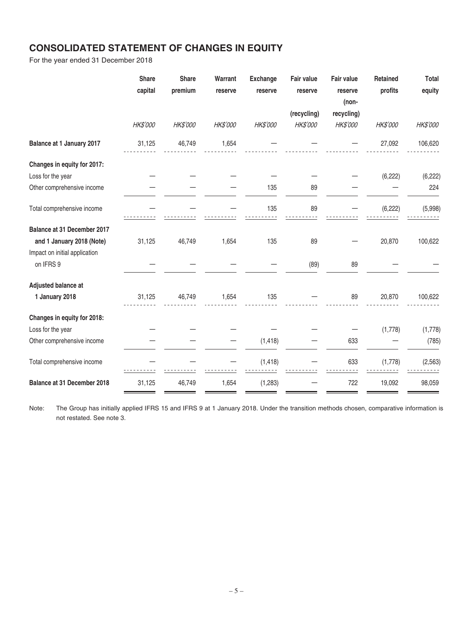# **CONSOLIDATED STATEMENT OF CHANGES IN EQUITY**

For the year ended 31 December 2018

|                               | <b>Share</b><br>capital | <b>Share</b><br>premium | Warrant<br>reserve | <b>Exchange</b><br>reserve | <b>Fair value</b><br>reserve | Fair value<br>reserve<br>(non- | Retained<br>profits | <b>Total</b><br>equity |
|-------------------------------|-------------------------|-------------------------|--------------------|----------------------------|------------------------------|--------------------------------|---------------------|------------------------|
|                               |                         |                         |                    |                            | (recycling)                  | recycling)                     |                     |                        |
|                               | <b>HK\$'000</b>         | HK\$'000                | <b>HK\$'000</b>    | HK\$'000                   | <b>HK\$'000</b>              | <b>HK\$'000</b>                | <b>HK\$'000</b>     | HK\$'000               |
| Balance at 1 January 2017     | 31,125                  | 46,749                  | 1,654              |                            |                              |                                | 27,092              | 106,620                |
| Changes in equity for 2017:   |                         |                         |                    |                            |                              |                                |                     |                        |
| Loss for the year             |                         |                         |                    |                            |                              |                                | (6, 222)            | (6, 222)               |
| Other comprehensive income    |                         |                         |                    | 135                        | 89                           |                                |                     | 224                    |
| Total comprehensive income    |                         |                         |                    | 135                        | 89                           |                                | (6, 222)            | (5,998)                |
| Balance at 31 December 2017   |                         |                         |                    |                            |                              |                                |                     |                        |
| and 1 January 2018 (Note)     | 31,125                  | 46,749                  | 1,654              | 135                        | 89                           |                                | 20,870              | 100,622                |
| Impact on initial application |                         |                         |                    |                            |                              |                                |                     |                        |
| on IFRS 9                     |                         |                         |                    |                            | (89)                         | 89                             |                     |                        |
| Adjusted balance at           |                         |                         |                    |                            |                              |                                |                     |                        |
| 1 January 2018                | 31,125                  | 46,749                  | 1,654              | 135                        |                              | 89                             | 20,870              | 100,622                |
| Changes in equity for 2018:   |                         |                         |                    |                            |                              |                                |                     |                        |
| Loss for the year             |                         |                         |                    |                            |                              |                                | (1,778)             | (1,778)                |
| Other comprehensive income    |                         |                         |                    | (1, 418)                   |                              | 633                            |                     | (785)                  |
| Total comprehensive income    |                         |                         |                    | (1, 418)                   |                              | 633                            | (1,778)             | (2, 563)               |
| Balance at 31 December 2018   | 31,125                  | 46,749                  | 1,654              | (1,283)                    |                              | 722                            | 19,092              | 98,059                 |

Note: The Group has initially applied IFRS 15 and IFRS 9 at 1 January 2018. Under the transition methods chosen, comparative information is not restated. See note 3.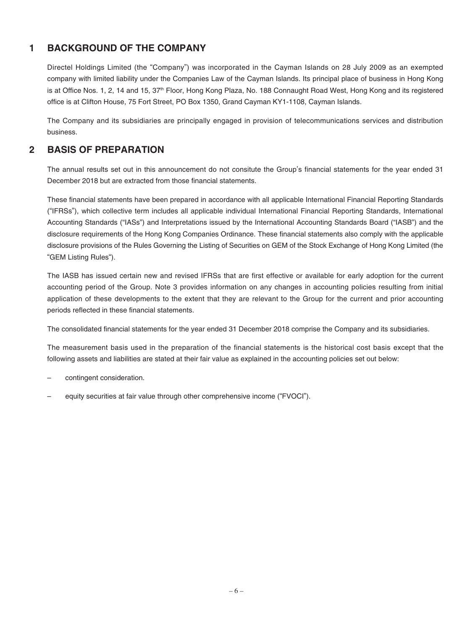# **1 BACKGROUND OF THE COMPANY**

Directel Holdings Limited (the "Company") was incorporated in the Cayman Islands on 28 July 2009 as an exempted company with limited liability under the Companies Law of the Cayman Islands. Its principal place of business in Hong Kong is at Office Nos. 1, 2, 14 and 15, 37<sup>th</sup> Floor, Hong Kong Plaza, No. 188 Connaught Road West, Hong Kong and its registered office is at Clifton House, 75 Fort Street, PO Box 1350, Grand Cayman KY1-1108, Cayman Islands.

The Company and its subsidiaries are principally engaged in provision of telecommunications services and distribution business.

### **2 BASIS OF PREPARATION**

The annual results set out in this announcement do not consitute the Group's financial statements for the year ended 31 December 2018 but are extracted from those financial statements.

These financial statements have been prepared in accordance with all applicable International Financial Reporting Standards ("IFRSs"), which collective term includes all applicable individual International Financial Reporting Standards, International Accounting Standards ("IASs") and Interpretations issued by the International Accounting Standards Board ("IASB") and the disclosure requirements of the Hong Kong Companies Ordinance. These financial statements also comply with the applicable disclosure provisions of the Rules Governing the Listing of Securities on GEM of the Stock Exchange of Hong Kong Limited (the "GEM Listing Rules").

The IASB has issued certain new and revised IFRSs that are first effective or available for early adoption for the current accounting period of the Group. Note 3 provides information on any changes in accounting policies resulting from initial application of these developments to the extent that they are relevant to the Group for the current and prior accounting periods reflected in these financial statements.

The consolidated financial statements for the year ended 31 December 2018 comprise the Company and its subsidiaries.

The measurement basis used in the preparation of the financial statements is the historical cost basis except that the following assets and liabilities are stated at their fair value as explained in the accounting policies set out below:

- contingent consideration.
- equity securities at fair value through other comprehensive income ("FVOCI").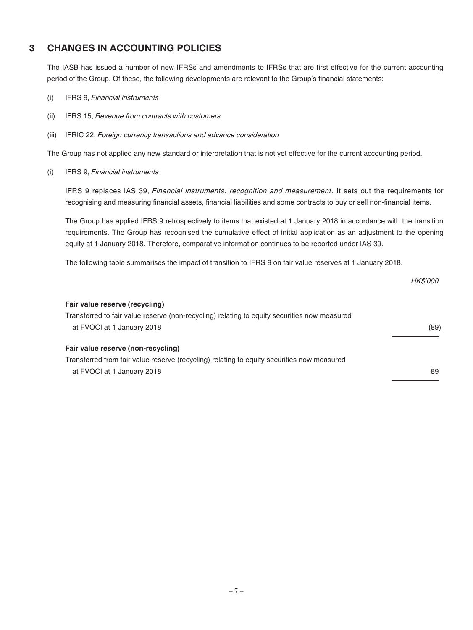# **3 CHANGES IN ACCOUNTING POLICIES**

The IASB has issued a number of new IFRSs and amendments to IFRSs that are first effective for the current accounting period of the Group. Of these, the following developments are relevant to the Group's financial statements:

- (i) IFRS 9, Financial instruments
- (ii) IFRS 15, Revenue from contracts with customers
- (iii) IFRIC 22, Foreign currency transactions and advance consideration

The Group has not applied any new standard or interpretation that is not yet effective for the current accounting period.

(i) IFRS 9, Financial instruments

IFRS 9 replaces IAS 39, Financial instruments: recognition and measurement. It sets out the requirements for recognising and measuring financial assets, financial liabilities and some contracts to buy or sell non-financial items.

The Group has applied IFRS 9 retrospectively to items that existed at 1 January 2018 in accordance with the transition requirements. The Group has recognised the cumulative effect of initial application as an adjustment to the opening equity at 1 January 2018. Therefore, comparative information continues to be reported under IAS 39.

The following table summarises the impact of transition to IFRS 9 on fair value reserves at 1 January 2018.

|                                                                                              | <b>HK\$'000</b> |
|----------------------------------------------------------------------------------------------|-----------------|
| Fair value reserve (recycling)                                                               |                 |
| Transferred to fair value reserve (non-recycling) relating to equity securities now measured |                 |
| at FVOCI at 1 January 2018                                                                   | (89)            |
| Fair value reserve (non-recycling)                                                           |                 |
| Transferred from fair value reserve (recycling) relating to equity securities now measured   |                 |
| at FVOCI at 1 January 2018                                                                   | 89              |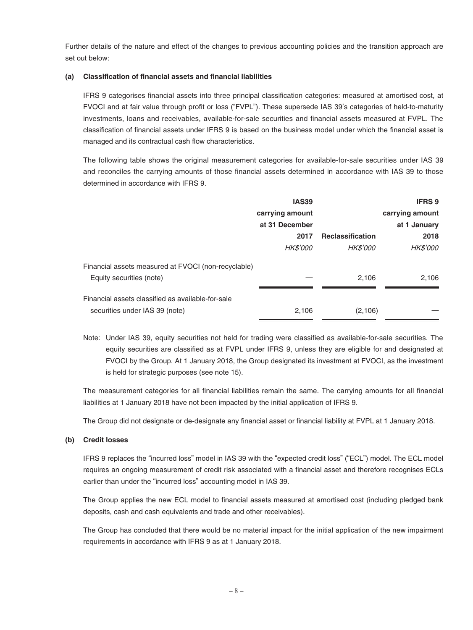Further details of the nature and effect of the changes to previous accounting policies and the transition approach are set out below:

### **(a) Classification of financial assets and financial liabilities**

IFRS 9 categorises financial assets into three principal classification categories: measured at amortised cost, at FVOCI and at fair value through profit or loss ("FVPL"). These supersede IAS 39's categories of held-to-maturity investments, loans and receivables, available-for-sale securities and financial assets measured at FVPL. The classification of financial assets under IFRS 9 is based on the business model under which the financial asset is managed and its contractual cash flow characteristics.

The following table shows the original measurement categories for available-for-sale securities under IAS 39 and reconciles the carrying amounts of those financial assets determined in accordance with IAS 39 to those determined in accordance with IFRS 9.

|                                                     | <b>IAS39</b>    |                         | <b>IFRS 9</b>   |
|-----------------------------------------------------|-----------------|-------------------------|-----------------|
|                                                     | carrying amount |                         | carrying amount |
|                                                     | at 31 December  |                         | at 1 January    |
|                                                     | 2017            | <b>Reclassification</b> | 2018            |
|                                                     | <b>HK\$'000</b> | <b>HK\$'000</b>         | <b>HK\$'000</b> |
| Financial assets measured at FVOCI (non-recyclable) |                 |                         |                 |
| Equity securities (note)                            |                 | 2,106                   | 2,106           |
| Financial assets classified as available-for-sale   |                 |                         |                 |
| securities under IAS 39 (note)                      | 2.106           | (2,106)                 |                 |

Note: Under IAS 39, equity securities not held for trading were classified as available-for-sale securities. The equity securities are classified as at FVPL under IFRS 9, unless they are eligible for and designated at FVOCI by the Group. At 1 January 2018, the Group designated its investment at FVOCI, as the investment is held for strategic purposes (see note 15).

The measurement categories for all financial liabilities remain the same. The carrying amounts for all financial liabilities at 1 January 2018 have not been impacted by the initial application of IFRS 9.

The Group did not designate or de-designate any financial asset or financial liability at FVPL at 1 January 2018.

#### **(b) Credit losses**

IFRS 9 replaces the "incurred loss" model in IAS 39 with the "expected credit loss" ("ECL") model. The ECL model requires an ongoing measurement of credit risk associated with a financial asset and therefore recognises ECLs earlier than under the "incurred loss" accounting model in IAS 39.

The Group applies the new ECL model to financial assets measured at amortised cost (including pledged bank deposits, cash and cash equivalents and trade and other receivables).

The Group has concluded that there would be no material impact for the initial application of the new impairment requirements in accordance with IFRS 9 as at 1 January 2018.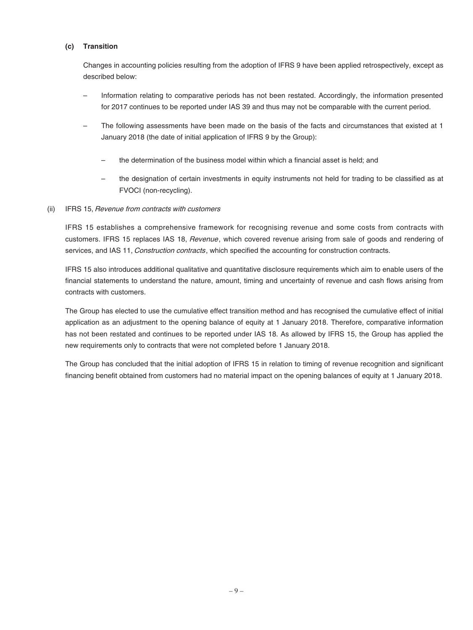### **(c) Transition**

Changes in accounting policies resulting from the adoption of IFRS 9 have been applied retrospectively, except as described below:

- Information relating to comparative periods has not been restated. Accordingly, the information presented for 2017 continues to be reported under IAS 39 and thus may not be comparable with the current period.
- The following assessments have been made on the basis of the facts and circumstances that existed at 1 January 2018 (the date of initial application of IFRS 9 by the Group):
	- the determination of the business model within which a financial asset is held; and
	- the designation of certain investments in equity instruments not held for trading to be classified as at FVOCI (non-recycling).

#### (ii) IFRS 15, Revenue from contracts with customers

IFRS 15 establishes a comprehensive framework for recognising revenue and some costs from contracts with customers. IFRS 15 replaces IAS 18, Revenue, which covered revenue arising from sale of goods and rendering of services, and IAS 11, Construction contracts, which specified the accounting for construction contracts.

IFRS 15 also introduces additional qualitative and quantitative disclosure requirements which aim to enable users of the financial statements to understand the nature, amount, timing and uncertainty of revenue and cash flows arising from contracts with customers.

The Group has elected to use the cumulative effect transition method and has recognised the cumulative effect of initial application as an adjustment to the opening balance of equity at 1 January 2018. Therefore, comparative information has not been restated and continues to be reported under IAS 18. As allowed by IFRS 15, the Group has applied the new requirements only to contracts that were not completed before 1 January 2018.

The Group has concluded that the initial adoption of IFRS 15 in relation to timing of revenue recognition and significant financing benefit obtained from customers had no material impact on the opening balances of equity at 1 January 2018.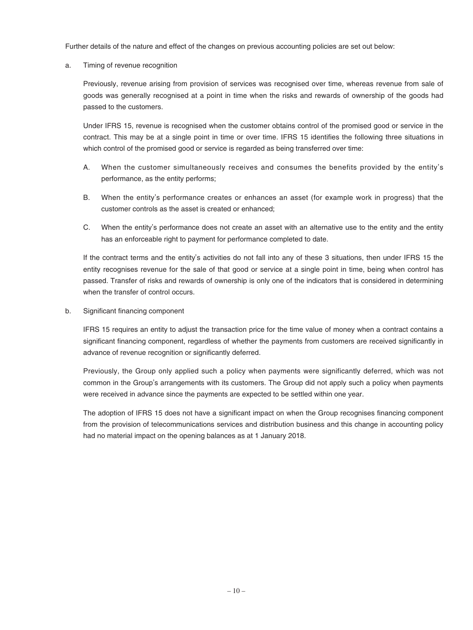Further details of the nature and effect of the changes on previous accounting policies are set out below:

a. Timing of revenue recognition

Previously, revenue arising from provision of services was recognised over time, whereas revenue from sale of goods was generally recognised at a point in time when the risks and rewards of ownership of the goods had passed to the customers.

Under IFRS 15, revenue is recognised when the customer obtains control of the promised good or service in the contract. This may be at a single point in time or over time. IFRS 15 identifies the following three situations in which control of the promised good or service is regarded as being transferred over time:

- A. When the customer simultaneously receives and consumes the benefits provided by the entity's performance, as the entity performs;
- B. When the entity's performance creates or enhances an asset (for example work in progress) that the customer controls as the asset is created or enhanced;
- C. When the entity's performance does not create an asset with an alternative use to the entity and the entity has an enforceable right to payment for performance completed to date.

If the contract terms and the entity's activities do not fall into any of these 3 situations, then under IFRS 15 the entity recognises revenue for the sale of that good or service at a single point in time, being when control has passed. Transfer of risks and rewards of ownership is only one of the indicators that is considered in determining when the transfer of control occurs.

b. Significant financing component

IFRS 15 requires an entity to adjust the transaction price for the time value of money when a contract contains a significant financing component, regardless of whether the payments from customers are received significantly in advance of revenue recognition or significantly deferred.

Previously, the Group only applied such a policy when payments were significantly deferred, which was not common in the Group's arrangements with its customers. The Group did not apply such a policy when payments were received in advance since the payments are expected to be settled within one year.

The adoption of IFRS 15 does not have a significant impact on when the Group recognises financing component from the provision of telecommunications services and distribution business and this change in accounting policy had no material impact on the opening balances as at 1 January 2018.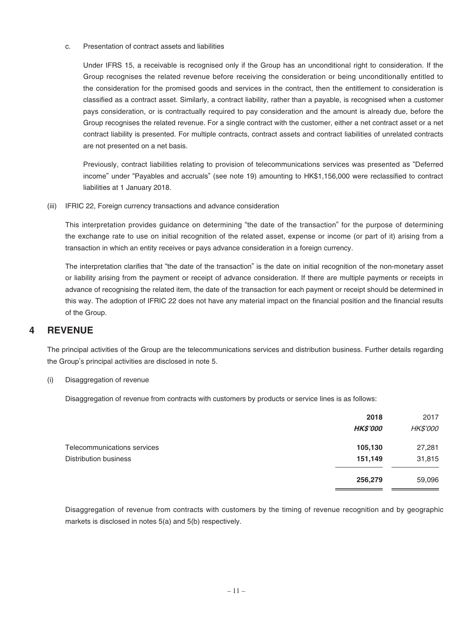c. Presentation of contract assets and liabilities

Under IFRS 15, a receivable is recognised only if the Group has an unconditional right to consideration. If the Group recognises the related revenue before receiving the consideration or being unconditionally entitled to the consideration for the promised goods and services in the contract, then the entitlement to consideration is classified as a contract asset. Similarly, a contract liability, rather than a payable, is recognised when a customer pays consideration, or is contractually required to pay consideration and the amount is already due, before the Group recognises the related revenue. For a single contract with the customer, either a net contract asset or a net contract liability is presented. For multiple contracts, contract assets and contract liabilities of unrelated contracts are not presented on a net basis.

Previously, contract liabilities relating to provision of telecommunications services was presented as "Deferred income" under "Payables and accruals" (see note 19) amounting to HK\$1,156,000 were reclassified to contract liabilities at 1 January 2018.

(iii) IFRIC 22, Foreign currency transactions and advance consideration

This interpretation provides guidance on determining "the date of the transaction" for the purpose of determining the exchange rate to use on initial recognition of the related asset, expense or income (or part of it) arising from a transaction in which an entity receives or pays advance consideration in a foreign currency.

The interpretation clarifies that "the date of the transaction" is the date on initial recognition of the non-monetary asset or liability arising from the payment or receipt of advance consideration. If there are multiple payments or receipts in advance of recognising the related item, the date of the transaction for each payment or receipt should be determined in this way. The adoption of IFRIC 22 does not have any material impact on the financial position and the financial results of the Group.

### **4 REVENUE**

The principal activities of the Group are the telecommunications services and distribution business. Further details regarding the Group's principal activities are disclosed in note 5.

(i) Disaggregation of revenue

Disaggregation of revenue from contracts with customers by products or service lines is as follows:

|                                                      | 2018<br><b>HK\$'000</b> | 2017<br><b>HK\$'000</b> |
|------------------------------------------------------|-------------------------|-------------------------|
| Telecommunications services<br>Distribution business | 105,130<br>151,149      | 27,281<br>31,815        |
|                                                      | 256,279                 | 59,096                  |

Disaggregation of revenue from contracts with customers by the timing of revenue recognition and by geographic markets is disclosed in notes 5(a) and 5(b) respectively.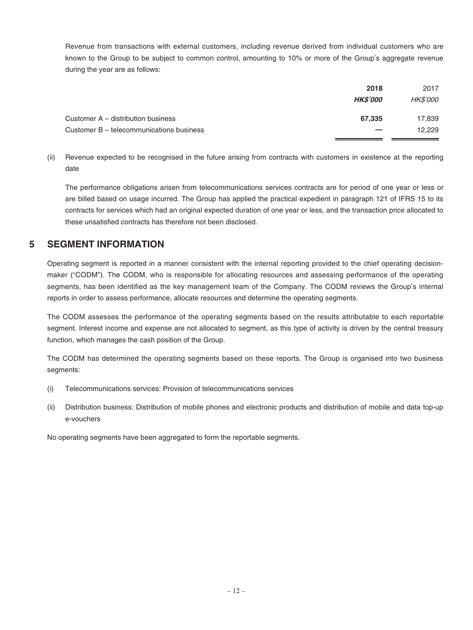Revenue from transactions with external customers, including revenue derived from individual customers who are known to the Group to be subject to common control, amounting to 10% or more of the Group's aggregate revenue during the year are as follows:

|                                          | 2018                   | 2017            |
|------------------------------------------|------------------------|-----------------|
|                                          | <i><b>HK\$'000</b></i> | <i>HK\$'000</i> |
| Customer A – distribution business       | 67.335                 | 17,839          |
| Customer B – telecommunications business |                        | 12.229          |

(ii) Revenue expected to be recognised in the future arising from contracts with customers in existence at the reporting date

The performance obligations arisen from telecommunications services contracts are for period of one year or less or are billed based on usage incurred. The Group has applied the practical expedient in paragraph 121 of IFRS 15 to its contracts for services which had an original expected duration of one year or less, and the transaction price allocated to these unsatisfied contracts has therefore not been disclosed.

# **5 SEGMENT INFORMATION**

Operating segment is reported in a manner consistent with the internal reporting provided to the chief operating decisionmaker ("CODM"). The CODM, who is responsible for allocating resources and assessing performance of the operating segments, has been identified as the key management team of the Company. The CODM reviews the Group's internal reports in order to assess performance, allocate resources and determine the operating segments.

The CODM assesses the performance of the operating segments based on the results attributable to each reportable segment. Interest income and expense are not allocated to segment, as this type of activity is driven by the central treasury function, which manages the cash position of the Group.

The CODM has determined the operating segments based on these reports. The Group is organised into two business segments:

- (i) Telecommunications services: Provision of telecommunications services
- (ii) Distribution business: Distribution of mobile phones and electronic products and distribution of mobile and data top-up e-vouchers

No operating segments have been aggregated to form the reportable segments.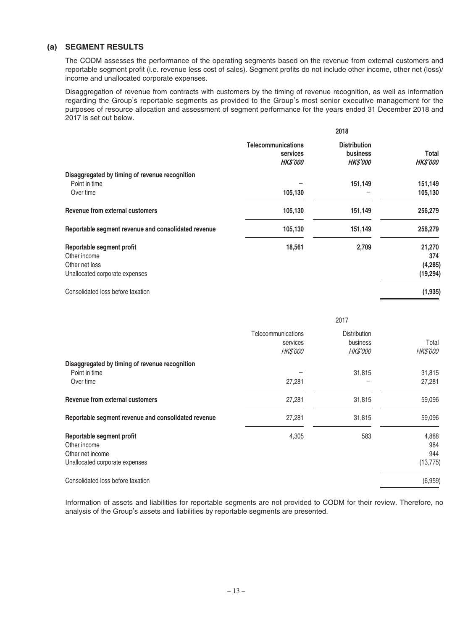### **(a) SEGMENT RESULTS**

The CODM assesses the performance of the operating segments based on the revenue from external customers and reportable segment profit (i.e. revenue less cost of sales). Segment profits do not include other income, other net (loss)/ income and unallocated corporate expenses.

Disaggregation of revenue from contracts with customers by the timing of revenue recognition, as well as information regarding the Group's reportable segments as provided to the Group's most senior executive management for the purposes of resource allocation and assessment of segment performance for the years ended 31 December 2018 and 2017 is set out below.

|                                                                                               | 2018                                                    |                                                           |                                        |
|-----------------------------------------------------------------------------------------------|---------------------------------------------------------|-----------------------------------------------------------|----------------------------------------|
|                                                                                               | <b>Telecommunications</b><br>services<br><b>HKS'000</b> | <b>Distribution</b><br><b>business</b><br><b>HK\$'000</b> | Total<br><b>HKS'000</b>                |
| Disaggregated by timing of revenue recognition<br>Point in time<br>Over time                  | 105,130                                                 | 151,149                                                   | 151,149<br>105,130                     |
| Revenue from external customers                                                               | 105,130                                                 | 151,149                                                   | 256,279                                |
| Reportable segment revenue and consolidated revenue                                           | 105,130                                                 | 151,149                                                   | 256,279                                |
| Reportable segment profit<br>Other income<br>Other net loss<br>Unallocated corporate expenses | 18,561                                                  | 2,709                                                     | 21,270<br>374<br>(4, 285)<br>(19, 294) |
| Consolidated loss before taxation                                                             |                                                         |                                                           | (1, 935)                               |

|                                                                                                 | 2017                                              |                                                    |                                  |
|-------------------------------------------------------------------------------------------------|---------------------------------------------------|----------------------------------------------------|----------------------------------|
|                                                                                                 | Telecommunications<br>services<br><b>HK\$'000</b> | <b>Distribution</b><br>business<br><b>HK\$'000</b> | Total<br><b>HK\$'000</b>         |
| Disaggregated by timing of revenue recognition<br>Point in time<br>Over time                    | 27,281                                            | 31,815                                             | 31,815<br>27,281                 |
| Revenue from external customers                                                                 | 27,281                                            | 31,815                                             | 59,096                           |
| Reportable segment revenue and consolidated revenue                                             | 27,281                                            | 31,815                                             | 59,096                           |
| Reportable segment profit<br>Other income<br>Other net income<br>Unallocated corporate expenses | 4,305                                             | 583                                                | 4,888<br>984<br>944<br>(13, 775) |
| Consolidated loss before taxation                                                               |                                                   |                                                    | (6,959)                          |

Information of assets and liabilities for reportable segments are not provided to CODM for their review. Therefore, no analysis of the Group's assets and liabilities by reportable segments are presented.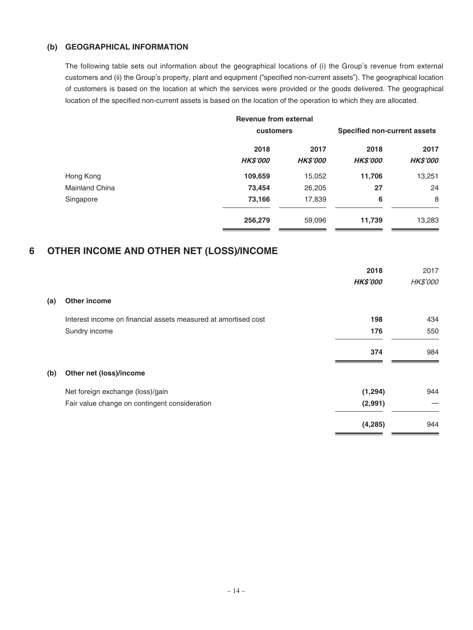### **(b) GEOGRAPHICAL INFORMATION**

The following table sets out information about the geographical locations of (i) the Group's revenue from external customers and (ii) the Group's property, plant and equipment ("specified non-current assets"). The geographical location of customers is based on the location at which the services were provided or the goods delivered. The geographical location of the specified non-current assets is based on the location of the operation to which they are allocated.

|                       | <b>Revenue from external</b> |                 |                 |                                     |
|-----------------------|------------------------------|-----------------|-----------------|-------------------------------------|
|                       |                              | customers       |                 | <b>Specified non-current assets</b> |
|                       | 2018                         | 2017            | 2018            | 2017                                |
|                       | <b>HK\$'000</b>              | <b>HK\$'000</b> | <b>HK\$'000</b> | <b>HK\$'000</b>                     |
| Hong Kong             | 109,659                      | 15,052          | 11,706          | 13,251                              |
| <b>Mainland China</b> | 73,454                       | 26,205          | 27              | 24                                  |
| Singapore             | 73,166                       | 17,839          | 6               | 8                                   |
|                       | 256,279                      | 59,096          | 11,739          | 13,283                              |

# **6 OTHER INCOME AND OTHER NET (LOSS)/INCOME**

|     |                                                                | 2018            | 2017     |
|-----|----------------------------------------------------------------|-----------------|----------|
|     |                                                                | <b>HK\$'000</b> | HK\$'000 |
| (a) | Other income                                                   |                 |          |
|     | Interest income on financial assets measured at amortised cost | 198             | 434      |
|     | Sundry income                                                  | 176             | 550      |
|     |                                                                | 374             | 984      |
| (b) | Other net (loss)/income                                        |                 |          |
|     | Net foreign exchange (loss)/gain                               | (1, 294)        | 944      |
|     | Fair value change on contingent consideration                  | (2,991)         |          |
|     |                                                                | (4, 285)        | 944      |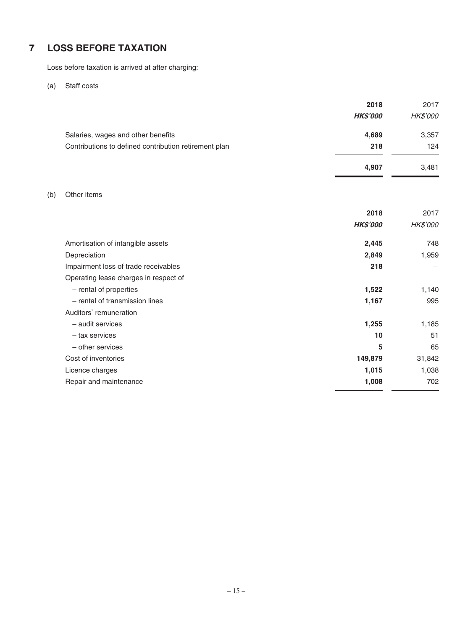# **7 LOSS BEFORE TAXATION**

Loss before taxation is arrived at after charging:

(a) Staff costs

|                                                                                             | 2018<br><b>HK\$'000</b> | 2017<br><i>HK\$'000</i> |
|---------------------------------------------------------------------------------------------|-------------------------|-------------------------|
| Salaries, wages and other benefits<br>Contributions to defined contribution retirement plan | 4,689<br>218            | 3,357<br>124            |
|                                                                                             | 4,907                   | 3,481                   |

### (b) Other items

| <b>HK\$'000</b>                             | <b>HK\$'000</b><br>748 |
|---------------------------------------------|------------------------|
|                                             |                        |
| Amortisation of intangible assets<br>2,445  |                        |
| 2,849<br>Depreciation                       | 1,959                  |
| 218<br>Impairment loss of trade receivables |                        |
| Operating lease charges in respect of       |                        |
| - rental of properties<br>1,522             | 1,140                  |
| - rental of transmission lines<br>1,167     | 995                    |
| Auditors' remuneration                      |                        |
| - audit services<br>1,255                   | 1,185                  |
| 10<br>- tax services                        | 51                     |
| 5<br>- other services                       | 65                     |
| Cost of inventories<br>149,879              | 31,842                 |
| 1,015<br>Licence charges                    | 1,038                  |
| 1,008<br>Repair and maintenance             | 702                    |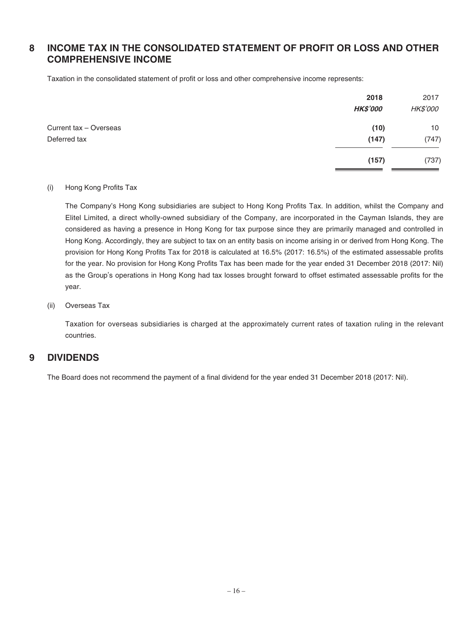# **8 INCOME TAX IN THE CONSOLIDATED STATEMENT OF PROFIT OR LOSS AND OTHER COMPREHENSIVE INCOME**

Taxation in the consolidated statement of profit or loss and other comprehensive income represents:

|                        | 2018            | 2017            |
|------------------------|-----------------|-----------------|
|                        | <b>HK\$'000</b> | <b>HK\$'000</b> |
| Current tax - Overseas | (10)            | 10              |
| Deferred tax           | (147)           | (747)           |
|                        | (157)           | (737)           |

### (i) Hong Kong Profits Tax

The Company's Hong Kong subsidiaries are subject to Hong Kong Profits Tax. In addition, whilst the Company and Elitel Limited, a direct wholly-owned subsidiary of the Company, are incorporated in the Cayman Islands, they are considered as having a presence in Hong Kong for tax purpose since they are primarily managed and controlled in Hong Kong. Accordingly, they are subject to tax on an entity basis on income arising in or derived from Hong Kong. The provision for Hong Kong Profits Tax for 2018 is calculated at 16.5% (2017: 16.5%) of the estimated assessable profits for the year. No provision for Hong Kong Profits Tax has been made for the year ended 31 December 2018 (2017: Nil) as the Group's operations in Hong Kong had tax losses brought forward to offset estimated assessable profits for the year.

### (ii) Overseas Tax

Taxation for overseas subsidiaries is charged at the approximately current rates of taxation ruling in the relevant countries.

### **9 DIVIDENDS**

The Board does not recommend the payment of a final dividend for the year ended 31 December 2018 (2017: Nil).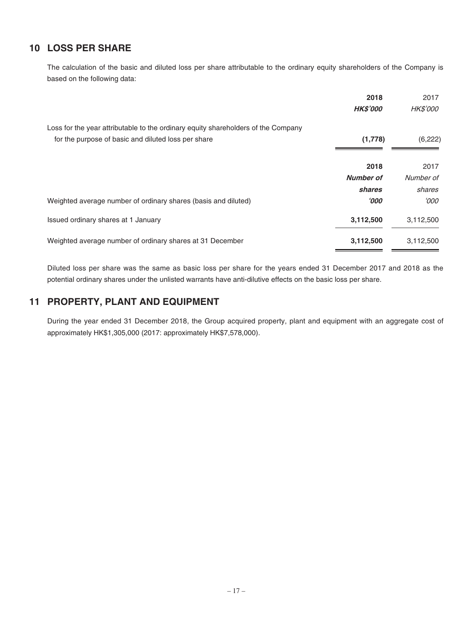# **10 LOSS PER SHARE**

The calculation of the basic and diluted loss per share attributable to the ordinary equity shareholders of the Company is based on the following data:

|                                                                                   | 2018             | 2017      |
|-----------------------------------------------------------------------------------|------------------|-----------|
|                                                                                   | <b>HK\$'000</b>  | HK\$'000  |
| Loss for the year attributable to the ordinary equity shareholders of the Company |                  |           |
| for the purpose of basic and diluted loss per share                               | (1,778)          | (6, 222)  |
|                                                                                   |                  |           |
|                                                                                   | 2018             | 2017      |
|                                                                                   | <b>Number of</b> | Number of |
|                                                                                   | shares           | shares    |
| Weighted average number of ordinary shares (basis and diluted)                    | 000'             | 000'      |
| Issued ordinary shares at 1 January                                               | 3,112,500        | 3,112,500 |
| Weighted average number of ordinary shares at 31 December                         | 3,112,500        | 3,112,500 |

Diluted loss per share was the same as basic loss per share for the years ended 31 December 2017 and 2018 as the potential ordinary shares under the unlisted warrants have anti-dilutive effects on the basic loss per share.

# **11 PROPERTY, PLANT AND EQUIPMENT**

During the year ended 31 December 2018, the Group acquired property, plant and equipment with an aggregate cost of approximately HK\$1,305,000 (2017: approximately HK\$7,578,000).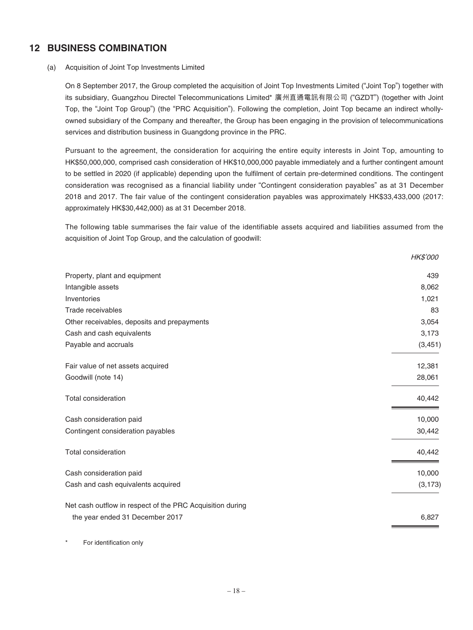# **12 BUSINESS COMBINATION**

### (a) Acquisition of Joint Top Investments Limited

On 8 September 2017, the Group completed the acquisition of Joint Top Investments Limited ("Joint Top") together with its subsidiary, Guangzhou Directel Telecommunications Limited\* 廣州直通電訊有限公司 ("GZDT") (together with Joint Top, the "Joint Top Group") (the "PRC Acquisition"). Following the completion, Joint Top became an indirect whollyowned subsidiary of the Company and thereafter, the Group has been engaging in the provision of telecommunications services and distribution business in Guangdong province in the PRC.

Pursuant to the agreement, the consideration for acquiring the entire equity interests in Joint Top, amounting to HK\$50,000,000, comprised cash consideration of HK\$10,000,000 payable immediately and a further contingent amount to be settled in 2020 (if applicable) depending upon the fulfilment of certain pre-determined conditions. The contingent consideration was recognised as a financial liability under "Contingent consideration payables" as at 31 December 2018 and 2017. The fair value of the contingent consideration payables was approximately HK\$33,433,000 (2017: approximately HK\$30,442,000) as at 31 December 2018.

The following table summarises the fair value of the identifiable assets acquired and liabilities assumed from the acquisition of Joint Top Group, and the calculation of goodwill:

|                                                           | <b>HK\$'000</b> |
|-----------------------------------------------------------|-----------------|
| Property, plant and equipment                             | 439             |
| Intangible assets                                         | 8,062           |
| Inventories                                               | 1,021           |
| Trade receivables                                         | 83              |
| Other receivables, deposits and prepayments               | 3,054           |
| Cash and cash equivalents                                 | 3,173           |
| Payable and accruals                                      | (3, 451)        |
| Fair value of net assets acquired                         | 12,381          |
| Goodwill (note 14)                                        | 28,061          |
| Total consideration                                       | 40,442          |
| Cash consideration paid                                   | 10,000          |
| Contingent consideration payables                         | 30,442          |
| <b>Total consideration</b>                                | 40,442          |
| Cash consideration paid                                   | 10,000          |
| Cash and cash equivalents acquired                        | (3, 173)        |
| Net cash outflow in respect of the PRC Acquisition during |                 |
| the year ended 31 December 2017                           | 6,827           |
|                                                           |                 |

For identification only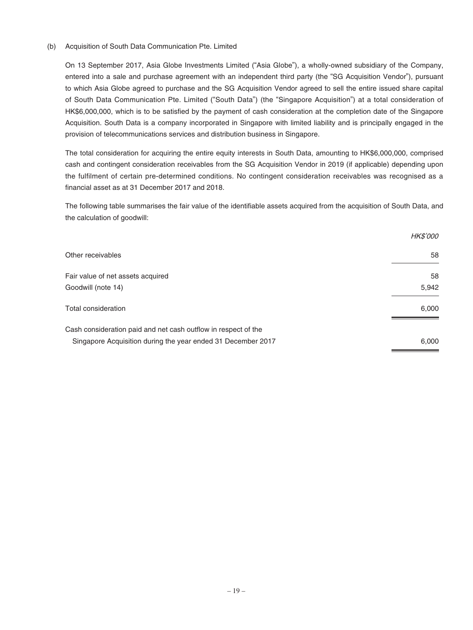#### (b) Acquisition of South Data Communication Pte. Limited

On 13 September 2017, Asia Globe Investments Limited ("Asia Globe"), a wholly-owned subsidiary of the Company, entered into a sale and purchase agreement with an independent third party (the "SG Acquisition Vendor"), pursuant to which Asia Globe agreed to purchase and the SG Acquisition Vendor agreed to sell the entire issued share capital of South Data Communication Pte. Limited ("South Data") (the "Singapore Acquisition") at a total consideration of HK\$6,000,000, which is to be satisfied by the payment of cash consideration at the completion date of the Singapore Acquisition. South Data is a company incorporated in Singapore with limited liability and is principally engaged in the provision of telecommunications services and distribution business in Singapore.

The total consideration for acquiring the entire equity interests in South Data, amounting to HK\$6,000,000, comprised cash and contingent consideration receivables from the SG Acquisition Vendor in 2019 (if applicable) depending upon the fulfilment of certain pre-determined conditions. No contingent consideration receivables was recognised as a financial asset as at 31 December 2017 and 2018.

The following table summarises the fair value of the identifiable assets acquired from the acquisition of South Data, and the calculation of goodwill:

|                                                                | <b>HK\$'000</b> |
|----------------------------------------------------------------|-----------------|
| Other receivables                                              | 58              |
| Fair value of net assets acquired                              | 58              |
| Goodwill (note 14)                                             | 5,942           |
| Total consideration                                            | 6,000           |
| Cash consideration paid and net cash outflow in respect of the |                 |
| Singapore Acquisition during the year ended 31 December 2017   | 6,000           |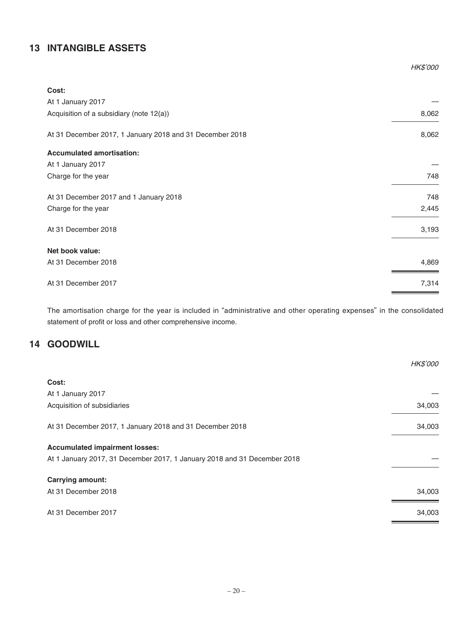# **13 INTANGIBLE ASSETS**

|                                                          | HK\$'000 |
|----------------------------------------------------------|----------|
| Cost:                                                    |          |
| At 1 January 2017                                        |          |
| Acquisition of a subsidiary (note 12(a))                 | 8,062    |
| At 31 December 2017, 1 January 2018 and 31 December 2018 | 8,062    |
| <b>Accumulated amortisation:</b>                         |          |
| At 1 January 2017                                        |          |
| Charge for the year                                      | 748      |
| At 31 December 2017 and 1 January 2018                   | 748      |
| Charge for the year                                      | 2,445    |
| At 31 December 2018                                      | 3,193    |
| Net book value:                                          |          |
| At 31 December 2018                                      | 4,869    |
| At 31 December 2017                                      | 7,314    |

The amortisation charge for the year is included in "administrative and other operating expenses" in the consolidated statement of profit or loss and other comprehensive income.

# **14 GOODWILL**

|                                                                          | <b>HK\$'000</b> |
|--------------------------------------------------------------------------|-----------------|
| Cost:                                                                    |                 |
| At 1 January 2017                                                        |                 |
| Acquisition of subsidiaries                                              | 34,003          |
| At 31 December 2017, 1 January 2018 and 31 December 2018                 | 34,003          |
| <b>Accumulated impairment losses:</b>                                    |                 |
| At 1 January 2017, 31 December 2017, 1 January 2018 and 31 December 2018 |                 |
| <b>Carrying amount:</b>                                                  |                 |
| At 31 December 2018                                                      | 34,003          |
| At 31 December 2017                                                      | 34,003          |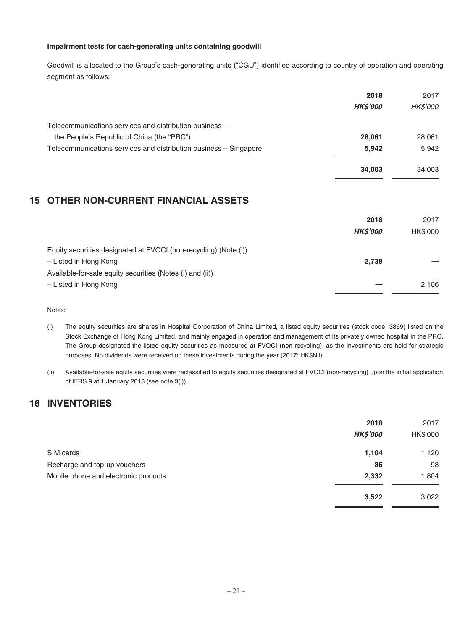### **Impairment tests for cash-generating units containing goodwill**

Goodwill is allocated to the Group's cash-generating units ("CGU") identified according to country of operation and operating segment as follows:

|                                                                   | 2018           | 2017            |
|-------------------------------------------------------------------|----------------|-----------------|
|                                                                   | <b>HKS'000</b> | <b>HK\$'000</b> |
| Telecommunications services and distribution business -           |                |                 |
| the People's Republic of China (the "PRC")                        | 28.061         | 28,061          |
| Telecommunications services and distribution business - Singapore | 5.942          | 5.942           |
|                                                                   | 34.003         | 34,003          |
|                                                                   |                |                 |

# **15 OTHER NON-CURRENT FINANCIAL ASSETS**

|                                                                  | 2018<br><b>HKS'000</b> | 2017<br>HK\$'000 |
|------------------------------------------------------------------|------------------------|------------------|
| Equity securities designated at FVOCI (non-recycling) (Note (i)) |                        |                  |
| - Listed in Hong Kong                                            | 2,739                  |                  |
| Available-for-sale equity securities (Notes (i) and (ii))        |                        |                  |
| - Listed in Hong Kong                                            |                        | 2.106            |
|                                                                  |                        |                  |

Notes:

- (i) The equity securities are shares in Hospital Corporation of China Limited, a listed equity securities (stock code: 3869) listed on the Stock Exchange of Hong Kong Limited, and mainly engaged in operation and management of its privately owned hospital in the PRC. The Group designated the listed equity securities as measured at FVOCI (non-recycling), as the investments are held for strategic purposes. No dividends were received on these investments during the year (2017: HK\$Nil).
- (ii) Available-for-sale equity securities were reclassified to equity securities designated at FVOCI (non-recycling) upon the initial application of IFRS 9 at 1 January 2018 (see note 3(i)).

# **16 INVENTORIES**

|                                      | 2018            | 2017     |
|--------------------------------------|-----------------|----------|
|                                      | <b>HK\$'000</b> | HK\$'000 |
| SIM cards                            | 1,104           | 1,120    |
| Recharge and top-up vouchers         | 86              | 98       |
| Mobile phone and electronic products | 2,332           | 1,804    |
|                                      | 3,522           | 3,022    |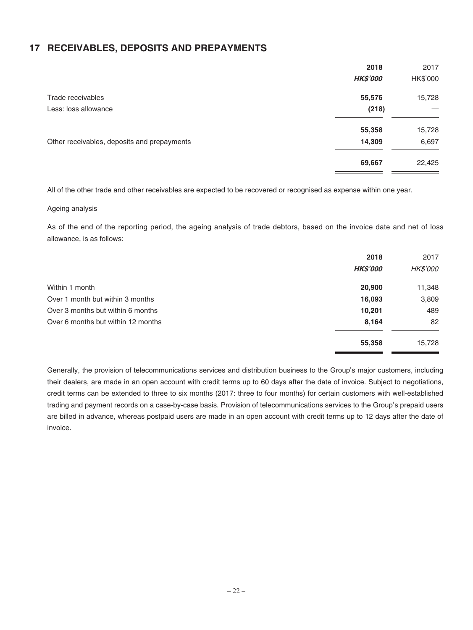# **17 RECEIVABLES, DEPOSITS AND PREPAYMENTS**

|                                             | 2018            | 2017     |
|---------------------------------------------|-----------------|----------|
|                                             | <b>HK\$'000</b> | HK\$'000 |
| Trade receivables                           | 55,576          | 15,728   |
| Less: loss allowance                        | (218)           |          |
|                                             | 55,358          | 15,728   |
| Other receivables, deposits and prepayments | 14,309          | 6,697    |
|                                             | 69,667          | 22,425   |

All of the other trade and other receivables are expected to be recovered or recognised as expense within one year.

#### Ageing analysis

As of the end of the reporting period, the ageing analysis of trade debtors, based on the invoice date and net of loss allowance, is as follows:

|                                    | 2018<br><b>HK\$'000</b> | 2017<br><i>HK\$'000</i> |
|------------------------------------|-------------------------|-------------------------|
| Within 1 month                     | 20,900                  | 11,348                  |
| Over 1 month but within 3 months   | 16,093                  | 3,809                   |
| Over 3 months but within 6 months  | 10,201                  | 489                     |
| Over 6 months but within 12 months | 8,164                   | 82                      |
|                                    | 55,358                  | 15,728                  |

Generally, the provision of telecommunications services and distribution business to the Group's major customers, including their dealers, are made in an open account with credit terms up to 60 days after the date of invoice. Subject to negotiations, credit terms can be extended to three to six months (2017: three to four months) for certain customers with well-established trading and payment records on a case-by-case basis. Provision of telecommunications services to the Group's prepaid users are billed in advance, whereas postpaid users are made in an open account with credit terms up to 12 days after the date of invoice.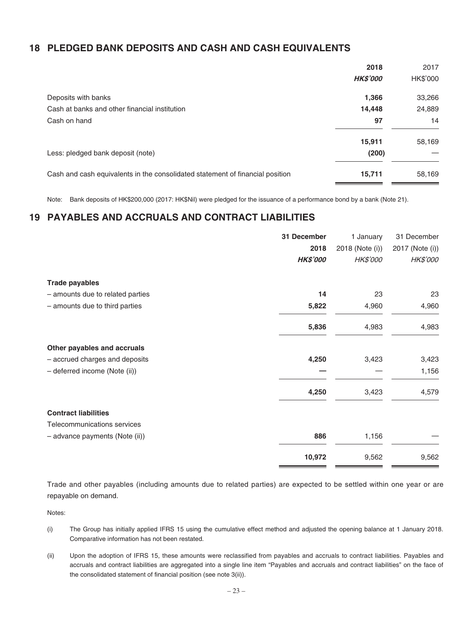# **18 PLEDGED BANK DEPOSITS AND CASH AND CASH EQUIVALENTS**

|                                                                               | 2018            | 2017     |
|-------------------------------------------------------------------------------|-----------------|----------|
|                                                                               | <b>HK\$'000</b> | HK\$'000 |
| Deposits with banks                                                           | 1,366           | 33,266   |
| Cash at banks and other financial institution                                 | 14,448          | 24,889   |
| Cash on hand                                                                  | 97              | 14       |
|                                                                               | 15,911          | 58,169   |
| Less: pledged bank deposit (note)                                             | (200)           |          |
| Cash and cash equivalents in the consolidated statement of financial position | 15,711          | 58,169   |

Note: Bank deposits of HK\$200,000 (2017: HK\$Nil) were pledged for the issuance of a performance bond by a bank (Note 21).

# **19 PAYABLES AND ACCRUALS AND CONTRACT LIABILITIES**

|                                  | 31 December     | 1 January       | 31 December     |
|----------------------------------|-----------------|-----------------|-----------------|
|                                  | 2018            | 2018 (Note (i)) | 2017 (Note (i)) |
|                                  | <b>HK\$'000</b> | <b>HK\$'000</b> | HK\$'000        |
| <b>Trade payables</b>            |                 |                 |                 |
| - amounts due to related parties | 14              | 23              | 23              |
| - amounts due to third parties   | 5,822           | 4,960           | 4,960           |
|                                  | 5,836           | 4,983           | 4,983           |
| Other payables and accruals      |                 |                 |                 |
| - accrued charges and deposits   | 4,250           | 3,423           | 3,423           |
| - deferred income (Note (ii))    |                 |                 | 1,156           |
|                                  | 4,250           | 3,423           | 4,579           |
| <b>Contract liabilities</b>      |                 |                 |                 |
| Telecommunications services      |                 |                 |                 |
| - advance payments (Note (ii))   | 886             | 1,156           |                 |
|                                  | 10,972          | 9,562           | 9,562           |

Trade and other payables (including amounts due to related parties) are expected to be settled within one year or are repayable on demand.

Notes:

- (i) The Group has initially applied IFRS 15 using the cumulative effect method and adjusted the opening balance at 1 January 2018. Comparative information has not been restated.
- (ii) Upon the adoption of IFRS 15, these amounts were reclassified from payables and accruals to contract liabilities. Payables and accruals and contract liabilities are aggregated into a single line item "Payables and accruals and contract liabilities" on the face of the consolidated statement of financial position (see note 3(ii)).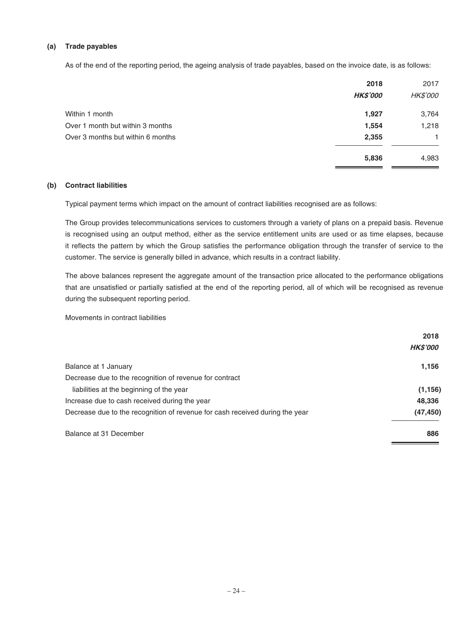### **(a) Trade payables**

As of the end of the reporting period, the ageing analysis of trade payables, based on the invoice date, is as follows:

|                                   | 2018            | 2017            |
|-----------------------------------|-----------------|-----------------|
|                                   | <b>HK\$'000</b> | <b>HK\$'000</b> |
| Within 1 month                    | 1,927           | 3,764           |
| Over 1 month but within 3 months  | 1,554           | 1,218           |
| Over 3 months but within 6 months | 2,355           | 1.              |
|                                   | 5,836           | 4,983           |

#### **(b) Contract liabilities**

Typical payment terms which impact on the amount of contract liabilities recognised are as follows:

The Group provides telecommunications services to customers through a variety of plans on a prepaid basis. Revenue is recognised using an output method, either as the service entitlement units are used or as time elapses, because it reflects the pattern by which the Group satisfies the performance obligation through the transfer of service to the customer. The service is generally billed in advance, which results in a contract liability.

The above balances represent the aggregate amount of the transaction price allocated to the performance obligations that are unsatisfied or partially satisfied at the end of the reporting period, all of which will be recognised as revenue during the subsequent reporting period.

Movements in contract liabilities

|                                                                              | 2018            |
|------------------------------------------------------------------------------|-----------------|
|                                                                              | <b>HK\$'000</b> |
| Balance at 1 January                                                         | 1,156           |
| Decrease due to the recognition of revenue for contract                      |                 |
| liabilities at the beginning of the year                                     | (1, 156)        |
| Increase due to cash received during the year                                | 48,336          |
| Decrease due to the recognition of revenue for cash received during the year | (47, 450)       |
| Balance at 31 December                                                       | 886             |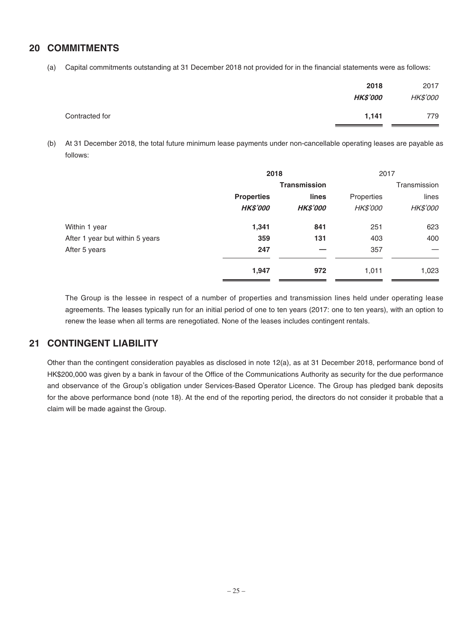### **20 COMMITMENTS**

(a) Capital commitments outstanding at 31 December 2018 not provided for in the financial statements were as follows:

|                | 2018<br><b>HK\$'000</b> | 2017<br>HK\$'000 |
|----------------|-------------------------|------------------|
| Contracted for | 1,141                   | 779              |

(b) At 31 December 2018, the total future minimum lease payments under non-cancellable operating leases are payable as follows:

|                                 | 2018                |                 | 2017       |                 |
|---------------------------------|---------------------|-----------------|------------|-----------------|
|                                 | <b>Transmission</b> |                 |            | Transmission    |
|                                 | <b>Properties</b>   | lines           | Properties | lines           |
|                                 | <b>HK\$'000</b>     | <b>HK\$'000</b> | HK\$'000   | <b>HK\$'000</b> |
| Within 1 year                   | 1,341               | 841             | 251        | 623             |
| After 1 year but within 5 years | 359                 | 131             | 403        | 400             |
| After 5 years                   | 247                 |                 | 357        |                 |
|                                 | 1,947               | 972             | 1,011      | 1,023           |

The Group is the lessee in respect of a number of properties and transmission lines held under operating lease agreements. The leases typically run for an initial period of one to ten years (2017: one to ten years), with an option to renew the lease when all terms are renegotiated. None of the leases includes contingent rentals.

### **21 CONTINGENT LIABILITY**

Other than the contingent consideration payables as disclosed in note 12(a), as at 31 December 2018, performance bond of HK\$200,000 was given by a bank in favour of the Office of the Communications Authority as security for the due performance and observance of the Group's obligation under Services-Based Operator Licence. The Group has pledged bank deposits for the above performance bond (note 18). At the end of the reporting period, the directors do not consider it probable that a claim will be made against the Group.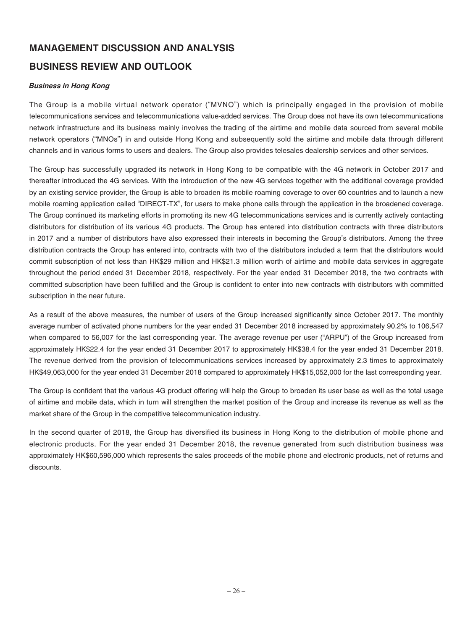# **MANAGEMENT DISCUSSION AND ANALYSIS**

# **BUSINESS REVIEW AND OUTLOOK**

### **Business in Hong Kong**

The Group is a mobile virtual network operator ("MVNO") which is principally engaged in the provision of mobile telecommunications services and telecommunications value-added services. The Group does not have its own telecommunications network infrastructure and its business mainly involves the trading of the airtime and mobile data sourced from several mobile network operators ("MNOs") in and outside Hong Kong and subsequently sold the airtime and mobile data through different channels and in various forms to users and dealers. The Group also provides telesales dealership services and other services.

The Group has successfully upgraded its network in Hong Kong to be compatible with the 4G network in October 2017 and thereafter introduced the 4G services. With the introduction of the new 4G services together with the additional coverage provided by an existing service provider, the Group is able to broaden its mobile roaming coverage to over 60 countries and to launch a new mobile roaming application called "DIRECT-TX", for users to make phone calls through the application in the broadened coverage. The Group continued its marketing efforts in promoting its new 4G telecommunications services and is currently actively contacting distributors for distribution of its various 4G products. The Group has entered into distribution contracts with three distributors in 2017 and a number of distributors have also expressed their interests in becoming the Group's distributors. Among the three distribution contracts the Group has entered into, contracts with two of the distributors included a term that the distributors would commit subscription of not less than HK\$29 million and HK\$21.3 million worth of airtime and mobile data services in aggregate throughout the period ended 31 December 2018, respectively. For the year ended 31 December 2018, the two contracts with committed subscription have been fulfilled and the Group is confident to enter into new contracts with distributors with committed subscription in the near future.

As a result of the above measures, the number of users of the Group increased significantly since October 2017. The monthly average number of activated phone numbers for the year ended 31 December 2018 increased by approximately 90.2% to 106,547 when compared to 56,007 for the last corresponding year. The average revenue per user ("ARPU") of the Group increased from approximately HK\$22.4 for the year ended 31 December 2017 to approximately HK\$38.4 for the year ended 31 December 2018. The revenue derived from the provision of telecommunications services increased by approximately 2.3 times to approximately HK\$49,063,000 for the year ended 31 December 2018 compared to approximately HK\$15,052,000 for the last corresponding year.

The Group is confident that the various 4G product offering will help the Group to broaden its user base as well as the total usage of airtime and mobile data, which in turn will strengthen the market position of the Group and increase its revenue as well as the market share of the Group in the competitive telecommunication industry.

In the second quarter of 2018, the Group has diversified its business in Hong Kong to the distribution of mobile phone and electronic products. For the year ended 31 December 2018, the revenue generated from such distribution business was approximately HK\$60,596,000 which represents the sales proceeds of the mobile phone and electronic products, net of returns and discounts.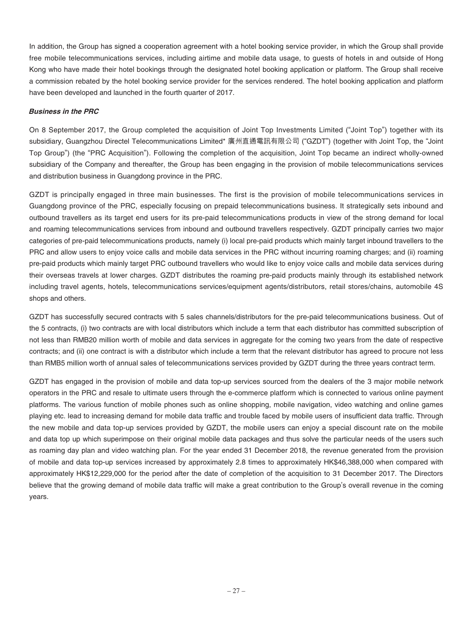In addition, the Group has signed a cooperation agreement with a hotel booking service provider, in which the Group shall provide free mobile telecommunications services, including airtime and mobile data usage, to guests of hotels in and outside of Hong Kong who have made their hotel bookings through the designated hotel booking application or platform. The Group shall receive a commission rebated by the hotel booking service provider for the services rendered. The hotel booking application and platform have been developed and launched in the fourth quarter of 2017.

### **Business in the PRC**

On 8 September 2017, the Group completed the acquisition of Joint Top Investments Limited ("Joint Top") together with its subsidiary, Guangzhou Directel Telecommunications Limited\* 廣州直通電訊有限公司 ("GZDT") (together with Joint Top, the "Joint Top Group") (the "PRC Acquisition"). Following the completion of the acquisition, Joint Top became an indirect wholly-owned subsidiary of the Company and thereafter, the Group has been engaging in the provision of mobile telecommunications services and distribution business in Guangdong province in the PRC.

GZDT is principally engaged in three main businesses. The first is the provision of mobile telecommunications services in Guangdong province of the PRC, especially focusing on prepaid telecommunications business. It strategically sets inbound and outbound travellers as its target end users for its pre-paid telecommunications products in view of the strong demand for local and roaming telecommunications services from inbound and outbound travellers respectively. GZDT principally carries two major categories of pre-paid telecommunications products, namely (i) local pre-paid products which mainly target inbound travellers to the PRC and allow users to enjoy voice calls and mobile data services in the PRC without incurring roaming charges; and (ii) roaming pre-paid products which mainly target PRC outbound travellers who would like to enjoy voice calls and mobile data services during their overseas travels at lower charges. GZDT distributes the roaming pre-paid products mainly through its established network including travel agents, hotels, telecommunications services/equipment agents/distributors, retail stores/chains, automobile 4S shops and others.

GZDT has successfully secured contracts with 5 sales channels/distributors for the pre-paid telecommunications business. Out of the 5 contracts, (i) two contracts are with local distributors which include a term that each distributor has committed subscription of not less than RMB20 million worth of mobile and data services in aggregate for the coming two years from the date of respective contracts; and (ii) one contract is with a distributor which include a term that the relevant distributor has agreed to procure not less than RMB5 million worth of annual sales of telecommunications services provided by GZDT during the three years contract term.

GZDT has engaged in the provision of mobile and data top-up services sourced from the dealers of the 3 major mobile network operators in the PRC and resale to ultimate users through the e-commerce platform which is connected to various online payment platforms. The various function of mobile phones such as online shopping, mobile navigation, video watching and online games playing etc. lead to increasing demand for mobile data traffic and trouble faced by mobile users of insufficient data traffic. Through the new mobile and data top-up services provided by GZDT, the mobile users can enjoy a special discount rate on the mobile and data top up which superimpose on their original mobile data packages and thus solve the particular needs of the users such as roaming day plan and video watching plan. For the year ended 31 December 2018, the revenue generated from the provision of mobile and data top-up services increased by approximately 2.8 times to approximately HK\$46,388,000 when compared with approximately HK\$12,229,000 for the period after the date of completion of the acquisition to 31 December 2017. The Directors believe that the growing demand of mobile data traffic will make a great contribution to the Group's overall revenue in the coming years.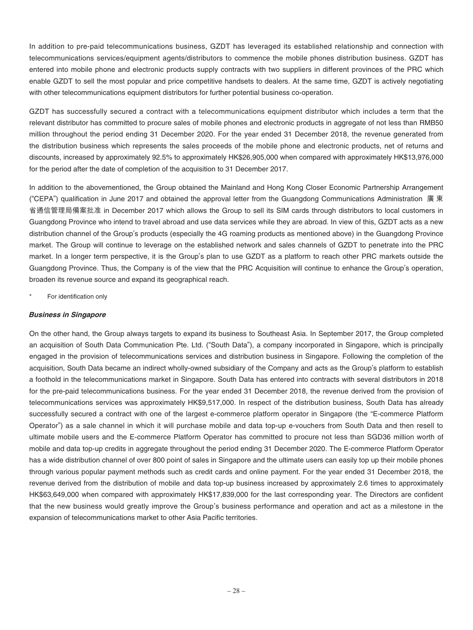In addition to pre-paid telecommunications business, GZDT has leveraged its established relationship and connection with telecommunications services/equipment agents/distributors to commence the mobile phones distribution business. GZDT has entered into mobile phone and electronic products supply contracts with two suppliers in different provinces of the PRC which enable GZDT to sell the most popular and price competitive handsets to dealers. At the same time, GZDT is actively negotiating with other telecommunications equipment distributors for further potential business co-operation.

GZDT has successfully secured a contract with a telecommunications equipment distributor which includes a term that the relevant distributor has committed to procure sales of mobile phones and electronic products in aggregate of not less than RMB50 million throughout the period ending 31 December 2020. For the year ended 31 December 2018, the revenue generated from the distribution business which represents the sales proceeds of the mobile phone and electronic products, net of returns and discounts, increased by approximately 92.5% to approximately HK\$26,905,000 when compared with approximately HK\$13,976,000 for the period after the date of completion of the acquisition to 31 December 2017.

In addition to the abovementioned, the Group obtained the Mainland and Hong Kong Closer Economic Partnership Arrangement ("CEPA") qualification in June 2017 and obtained the approval letter from the Guangdong Communications Administration 廣 東 省通信管理局備案批准 in December 2017 which allows the Group to sell its SIM cards through distributors to local customers in Guangdong Province who intend to travel abroad and use data services while they are abroad. In view of this, GZDT acts as a new distribution channel of the Group's products (especially the 4G roaming products as mentioned above) in the Guangdong Province market. The Group will continue to leverage on the established network and sales channels of GZDT to penetrate into the PRC market. In a longer term perspective, it is the Group's plan to use GZDT as a platform to reach other PRC markets outside the Guangdong Province. Thus, the Company is of the view that the PRC Acquisition will continue to enhance the Group's operation, broaden its revenue source and expand its geographical reach.

For identification only

### **Business in Singapore**

On the other hand, the Group always targets to expand its business to Southeast Asia. In September 2017, the Group completed an acquisition of South Data Communication Pte. Ltd. ("South Data"), a company incorporated in Singapore, which is principally engaged in the provision of telecommunications services and distribution business in Singapore. Following the completion of the acquisition, South Data became an indirect wholly-owned subsidiary of the Company and acts as the Group's platform to establish a foothold in the telecommunications market in Singapore. South Data has entered into contracts with several distributors in 2018 for the pre-paid telecommunications business. For the year ended 31 December 2018, the revenue derived from the provision of telecommunications services was approximately HK\$9,517,000. In respect of the distribution business, South Data has already successfully secured a contract with one of the largest e-commerce platform operator in Singapore (the "E-commerce Platform Operator") as a sale channel in which it will purchase mobile and data top-up e-vouchers from South Data and then resell to ultimate mobile users and the E-commerce Platform Operator has committed to procure not less than SGD36 million worth of mobile and data top-up credits in aggregate throughout the period ending 31 December 2020. The E-commerce Platform Operator has a wide distribution channel of over 800 point of sales in Singapore and the ultimate users can easily top up their mobile phones through various popular payment methods such as credit cards and online payment. For the year ended 31 December 2018, the revenue derived from the distribution of mobile and data top-up business increased by approximately 2.6 times to approximately HK\$63,649,000 when compared with approximately HK\$17,839,000 for the last corresponding year. The Directors are confident that the new business would greatly improve the Group's business performance and operation and act as a milestone in the expansion of telecommunications market to other Asia Pacific territories.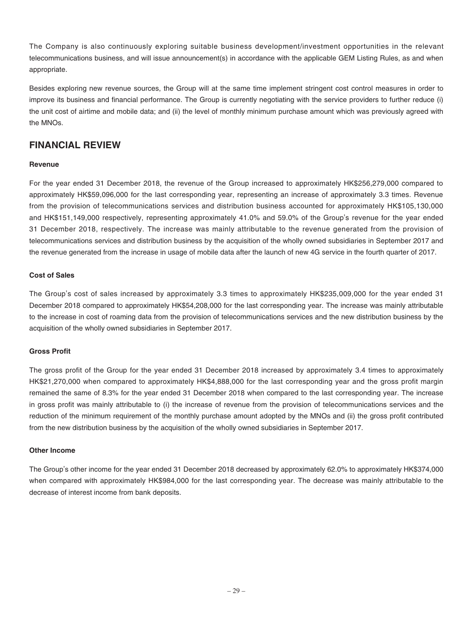The Company is also continuously exploring suitable business development/investment opportunities in the relevant telecommunications business, and will issue announcement(s) in accordance with the applicable GEM Listing Rules, as and when appropriate.

Besides exploring new revenue sources, the Group will at the same time implement stringent cost control measures in order to improve its business and financial performance. The Group is currently negotiating with the service providers to further reduce (i) the unit cost of airtime and mobile data; and (ii) the level of monthly minimum purchase amount which was previously agreed with the MNOs.

# **FINANCIAL REVIEW**

### **Revenue**

For the year ended 31 December 2018, the revenue of the Group increased to approximately HK\$256,279,000 compared to approximately HK\$59,096,000 for the last corresponding year, representing an increase of approximately 3.3 times. Revenue from the provision of telecommunications services and distribution business accounted for approximately HK\$105,130,000 and HK\$151,149,000 respectively, representing approximately 41.0% and 59.0% of the Group's revenue for the year ended 31 December 2018, respectively. The increase was mainly attributable to the revenue generated from the provision of telecommunications services and distribution business by the acquisition of the wholly owned subsidiaries in September 2017 and the revenue generated from the increase in usage of mobile data after the launch of new 4G service in the fourth quarter of 2017.

### **Cost of Sales**

The Group's cost of sales increased by approximately 3.3 times to approximately HK\$235,009,000 for the year ended 31 December 2018 compared to approximately HK\$54,208,000 for the last corresponding year. The increase was mainly attributable to the increase in cost of roaming data from the provision of telecommunications services and the new distribution business by the acquisition of the wholly owned subsidiaries in September 2017.

### **Gross Profit**

The gross profit of the Group for the year ended 31 December 2018 increased by approximately 3.4 times to approximately HK\$21,270,000 when compared to approximately HK\$4,888,000 for the last corresponding year and the gross profit margin remained the same of 8.3% for the year ended 31 December 2018 when compared to the last corresponding year. The increase in gross profit was mainly attributable to (i) the increase of revenue from the provision of telecommunications services and the reduction of the minimum requirement of the monthly purchase amount adopted by the MNOs and (ii) the gross profit contributed from the new distribution business by the acquisition of the wholly owned subsidiaries in September 2017.

### **Other Income**

The Group's other income for the year ended 31 December 2018 decreased by approximately 62.0% to approximately HK\$374,000 when compared with approximately HK\$984,000 for the last corresponding year. The decrease was mainly attributable to the decrease of interest income from bank deposits.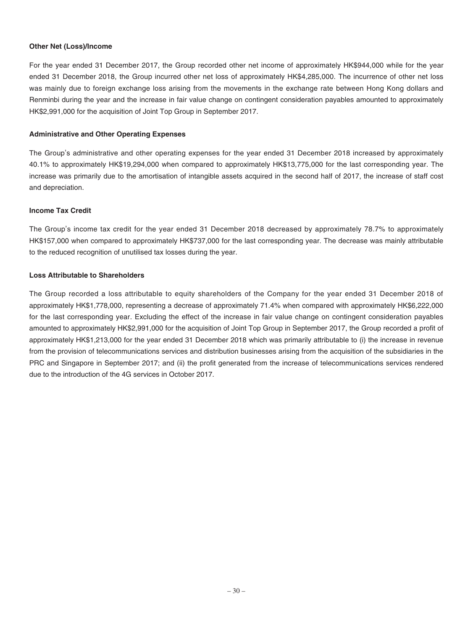#### **Other Net (Loss)/Income**

For the year ended 31 December 2017, the Group recorded other net income of approximately HK\$944,000 while for the year ended 31 December 2018, the Group incurred other net loss of approximately HK\$4,285,000. The incurrence of other net loss was mainly due to foreign exchange loss arising from the movements in the exchange rate between Hong Kong dollars and Renminbi during the year and the increase in fair value change on contingent consideration payables amounted to approximately HK\$2,991,000 for the acquisition of Joint Top Group in September 2017.

### **Administrative and Other Operating Expenses**

The Group's administrative and other operating expenses for the year ended 31 December 2018 increased by approximately 40.1% to approximately HK\$19,294,000 when compared to approximately HK\$13,775,000 for the last corresponding year. The increase was primarily due to the amortisation of intangible assets acquired in the second half of 2017, the increase of staff cost and depreciation.

### **Income Tax Credit**

The Group's income tax credit for the year ended 31 December 2018 decreased by approximately 78.7% to approximately HK\$157,000 when compared to approximately HK\$737,000 for the last corresponding year. The decrease was mainly attributable to the reduced recognition of unutilised tax losses during the year.

### **Loss Attributable to Shareholders**

The Group recorded a loss attributable to equity shareholders of the Company for the year ended 31 December 2018 of approximately HK\$1,778,000, representing a decrease of approximately 71.4% when compared with approximately HK\$6,222,000 for the last corresponding year. Excluding the effect of the increase in fair value change on contingent consideration payables amounted to approximately HK\$2,991,000 for the acquisition of Joint Top Group in September 2017, the Group recorded a profit of approximately HK\$1,213,000 for the year ended 31 December 2018 which was primarily attributable to (i) the increase in revenue from the provision of telecommunications services and distribution businesses arising from the acquisition of the subsidiaries in the PRC and Singapore in September 2017; and (ii) the profit generated from the increase of telecommunications services rendered due to the introduction of the 4G services in October 2017.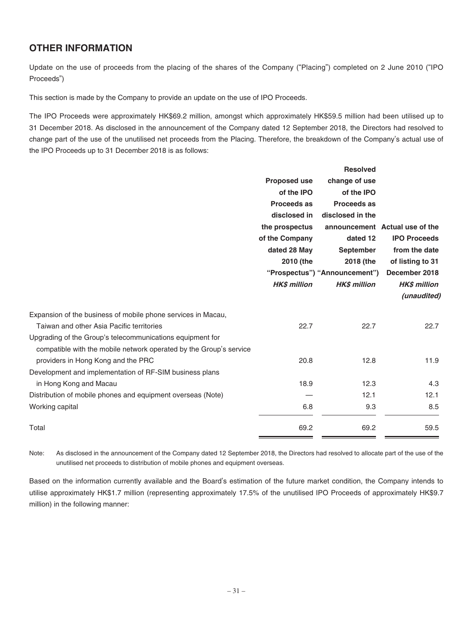# **OTHER INFORMATION**

Update on the use of proceeds from the placing of the shares of the Company ("Placing") completed on 2 June 2010 ("IPO Proceeds")

This section is made by the Company to provide an update on the use of IPO Proceeds.

The IPO Proceeds were approximately HK\$69.2 million, amongst which approximately HK\$59.5 million had been utilised up to 31 December 2018. As disclosed in the announcement of the Company dated 12 September 2018, the Directors had resolved to change part of the use of the unutilised net proceeds from the Placing. Therefore, the breakdown of the Company's actual use of the IPO Proceeds up to 31 December 2018 is as follows:

|                                                                    |                     | <b>Resolved</b>                           |                                                          |
|--------------------------------------------------------------------|---------------------|-------------------------------------------|----------------------------------------------------------|
|                                                                    | <b>Proposed use</b> | change of use                             |                                                          |
|                                                                    | of the IPO          | of the IPO                                |                                                          |
|                                                                    | Proceeds as         | Proceeds as                               |                                                          |
|                                                                    | disclosed in        | disclosed in the                          |                                                          |
|                                                                    | the prospectus      |                                           | announcement Actual use of the                           |
|                                                                    | of the Company      | dated 12<br><b>September</b><br>2018 (the | <b>IPO Proceeds</b><br>from the date<br>of listing to 31 |
|                                                                    | dated 28 May        |                                           |                                                          |
|                                                                    | 2010 (the           |                                           |                                                          |
|                                                                    |                     | "Prospectus") "Announcement")             | December 2018                                            |
|                                                                    | <b>HK\$ million</b> | <b>HKS million</b>                        | <b>HK\$</b> million                                      |
|                                                                    |                     |                                           | (unaudited)                                              |
| Expansion of the business of mobile phone services in Macau,       |                     |                                           |                                                          |
| Taiwan and other Asia Pacific territories                          | 22.7                | 22.7                                      | 22.7                                                     |
| Upgrading of the Group's telecommunications equipment for          |                     |                                           |                                                          |
| compatible with the mobile network operated by the Group's service |                     |                                           |                                                          |
| providers in Hong Kong and the PRC                                 | 20.8                | 12.8                                      | 11.9                                                     |
| Development and implementation of RF-SIM business plans            |                     |                                           |                                                          |
| in Hong Kong and Macau                                             | 18.9                | 12.3                                      | 4.3                                                      |
| Distribution of mobile phones and equipment overseas (Note)        |                     | 12.1                                      | 12.1                                                     |
| Working capital                                                    | 6.8                 | 9.3                                       | 8.5                                                      |
| Total                                                              | 69.2                | 69.2                                      | 59.5                                                     |
|                                                                    |                     |                                           |                                                          |

Note: As disclosed in the announcement of the Company dated 12 September 2018, the Directors had resolved to allocate part of the use of the unutilised net proceeds to distribution of mobile phones and equipment overseas.

Based on the information currently available and the Board's estimation of the future market condition, the Company intends to utilise approximately HK\$1.7 million (representing approximately 17.5% of the unutilised IPO Proceeds of approximately HK\$9.7 million) in the following manner: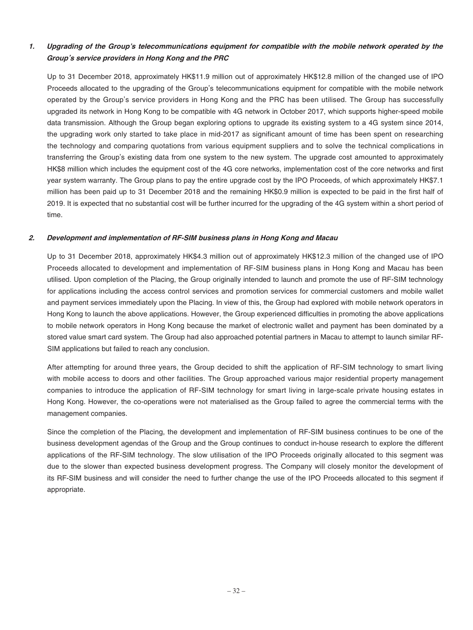### **1. Upgrading of the Group's telecommunications equipment for compatible with the mobile network operated by the Group's service providers in Hong Kong and the PRC**

Up to 31 December 2018, approximately HK\$11.9 million out of approximately HK\$12.8 million of the changed use of IPO Proceeds allocated to the upgrading of the Group's telecommunications equipment for compatible with the mobile network operated by the Group's service providers in Hong Kong and the PRC has been utilised. The Group has successfully upgraded its network in Hong Kong to be compatible with 4G network in October 2017, which supports higher-speed mobile data transmission. Although the Group began exploring options to upgrade its existing system to a 4G system since 2014, the upgrading work only started to take place in mid-2017 as significant amount of time has been spent on researching the technology and comparing quotations from various equipment suppliers and to solve the technical complications in transferring the Group's existing data from one system to the new system. The upgrade cost amounted to approximately HK\$8 million which includes the equipment cost of the 4G core networks, implementation cost of the core networks and first year system warranty. The Group plans to pay the entire upgrade cost by the IPO Proceeds, of which approximately HK\$7.1 million has been paid up to 31 December 2018 and the remaining HK\$0.9 million is expected to be paid in the first half of 2019. It is expected that no substantial cost will be further incurred for the upgrading of the 4G system within a short period of time.

### **2. Development and implementation of RF-SIM business plans in Hong Kong and Macau**

Up to 31 December 2018, approximately HK\$4.3 million out of approximately HK\$12.3 million of the changed use of IPO Proceeds allocated to development and implementation of RF-SIM business plans in Hong Kong and Macau has been utilised. Upon completion of the Placing, the Group originally intended to launch and promote the use of RF-SIM technology for applications including the access control services and promotion services for commercial customers and mobile wallet and payment services immediately upon the Placing. In view of this, the Group had explored with mobile network operators in Hong Kong to launch the above applications. However, the Group experienced difficulties in promoting the above applications to mobile network operators in Hong Kong because the market of electronic wallet and payment has been dominated by a stored value smart card system. The Group had also approached potential partners in Macau to attempt to launch similar RF-SIM applications but failed to reach any conclusion.

After attempting for around three years, the Group decided to shift the application of RF-SIM technology to smart living with mobile access to doors and other facilities. The Group approached various major residential property management companies to introduce the application of RF-SIM technology for smart living in large-scale private housing estates in Hong Kong. However, the co-operations were not materialised as the Group failed to agree the commercial terms with the management companies.

Since the completion of the Placing, the development and implementation of RF-SIM business continues to be one of the business development agendas of the Group and the Group continues to conduct in-house research to explore the different applications of the RF-SIM technology. The slow utilisation of the IPO Proceeds originally allocated to this segment was due to the slower than expected business development progress. The Company will closely monitor the development of its RF-SIM business and will consider the need to further change the use of the IPO Proceeds allocated to this segment if appropriate.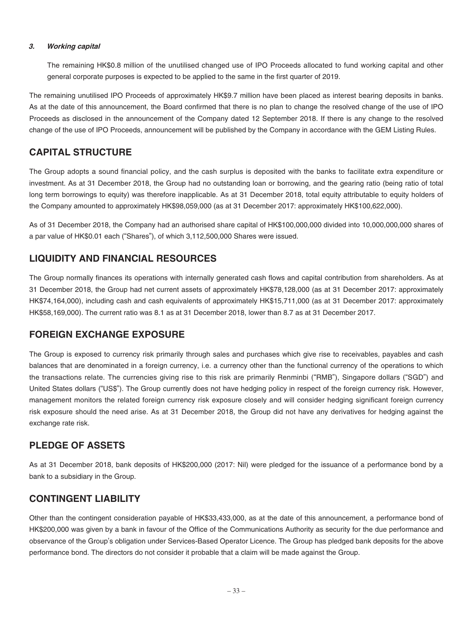### **3. Working capital**

The remaining HK\$0.8 million of the unutilised changed use of IPO Proceeds allocated to fund working capital and other general corporate purposes is expected to be applied to the same in the first quarter of 2019.

The remaining unutilised IPO Proceeds of approximately HK\$9.7 million have been placed as interest bearing deposits in banks. As at the date of this announcement, the Board confirmed that there is no plan to change the resolved change of the use of IPO Proceeds as disclosed in the announcement of the Company dated 12 September 2018. If there is any change to the resolved change of the use of IPO Proceeds, announcement will be published by the Company in accordance with the GEM Listing Rules.

# **CAPITAL STRUCTURE**

The Group adopts a sound financial policy, and the cash surplus is deposited with the banks to facilitate extra expenditure or investment. As at 31 December 2018, the Group had no outstanding loan or borrowing, and the gearing ratio (being ratio of total long term borrowings to equity) was therefore inapplicable. As at 31 December 2018, total equity attributable to equity holders of the Company amounted to approximately HK\$98,059,000 (as at 31 December 2017: approximately HK\$100,622,000).

As of 31 December 2018, the Company had an authorised share capital of HK\$100,000,000 divided into 10,000,000,000 shares of a par value of HK\$0.01 each ("Shares"), of which 3,112,500,000 Shares were issued.

# **LIQUIDITY AND FINANCIAL RESOURCES**

The Group normally finances its operations with internally generated cash flows and capital contribution from shareholders. As at 31 December 2018, the Group had net current assets of approximately HK\$78,128,000 (as at 31 December 2017: approximately HK\$74,164,000), including cash and cash equivalents of approximately HK\$15,711,000 (as at 31 December 2017: approximately HK\$58,169,000). The current ratio was 8.1 as at 31 December 2018, lower than 8.7 as at 31 December 2017.

### **FOREIGN EXCHANGE EXPOSURE**

The Group is exposed to currency risk primarily through sales and purchases which give rise to receivables, payables and cash balances that are denominated in a foreign currency, i.e. a currency other than the functional currency of the operations to which the transactions relate. The currencies giving rise to this risk are primarily Renminbi ("RMB"), Singapore dollars ("SGD") and United States dollars ("US\$"). The Group currently does not have hedging policy in respect of the foreign currency risk. However, management monitors the related foreign currency risk exposure closely and will consider hedging significant foreign currency risk exposure should the need arise. As at 31 December 2018, the Group did not have any derivatives for hedging against the exchange rate risk.

### **PLEDGE OF ASSETS**

As at 31 December 2018, bank deposits of HK\$200,000 (2017: Nil) were pledged for the issuance of a performance bond by a bank to a subsidiary in the Group.

### **CONTINGENT LIABILITY**

Other than the contingent consideration payable of HK\$33,433,000, as at the date of this announcement, a performance bond of HK\$200,000 was given by a bank in favour of the Office of the Communications Authority as security for the due performance and observance of the Group's obligation under Services-Based Operator Licence. The Group has pledged bank deposits for the above performance bond. The directors do not consider it probable that a claim will be made against the Group.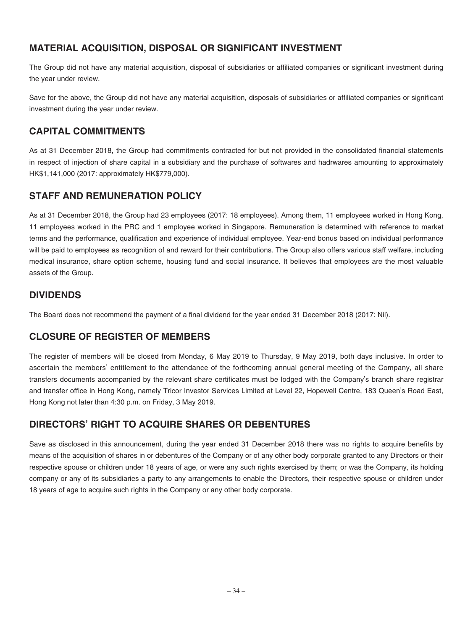# **MATERIAL ACQUISITION, DISPOSAL OR SIGNIFICANT INVESTMENT**

The Group did not have any material acquisition, disposal of subsidiaries or affiliated companies or significant investment during the year under review.

Save for the above, the Group did not have any material acquisition, disposals of subsidiaries or affiliated companies or significant investment during the year under review.

# **CAPITAL COMMITMENTS**

As at 31 December 2018, the Group had commitments contracted for but not provided in the consolidated financial statements in respect of injection of share capital in a subsidiary and the purchase of softwares and hadrwares amounting to approximately HK\$1,141,000 (2017: approximately HK\$779,000).

# **STAFF AND REMUNERATION POLICY**

As at 31 December 2018, the Group had 23 employees (2017: 18 employees). Among them, 11 employees worked in Hong Kong, 11 employees worked in the PRC and 1 employee worked in Singapore. Remuneration is determined with reference to market terms and the performance, qualification and experience of individual employee. Year-end bonus based on individual performance will be paid to employees as recognition of and reward for their contributions. The Group also offers various staff welfare, including medical insurance, share option scheme, housing fund and social insurance. It believes that employees are the most valuable assets of the Group.

# **DIVIDENDS**

The Board does not recommend the payment of a final dividend for the year ended 31 December 2018 (2017: Nil).

# **CLOSURE OF REGISTER OF MEMBERS**

The register of members will be closed from Monday, 6 May 2019 to Thursday, 9 May 2019, both days inclusive. In order to ascertain the members' entitlement to the attendance of the forthcoming annual general meeting of the Company, all share transfers documents accompanied by the relevant share certificates must be lodged with the Company's branch share registrar and transfer office in Hong Kong, namely Tricor Investor Services Limited at Level 22, Hopewell Centre, 183 Queen's Road East, Hong Kong not later than 4:30 p.m. on Friday, 3 May 2019.

# **DIRECTORS' RIGHT TO ACQUIRE SHARES OR DEBENTURES**

Save as disclosed in this announcement, during the year ended 31 December 2018 there was no rights to acquire benefits by means of the acquisition of shares in or debentures of the Company or of any other body corporate granted to any Directors or their respective spouse or children under 18 years of age, or were any such rights exercised by them; or was the Company, its holding company or any of its subsidiaries a party to any arrangements to enable the Directors, their respective spouse or children under 18 years of age to acquire such rights in the Company or any other body corporate.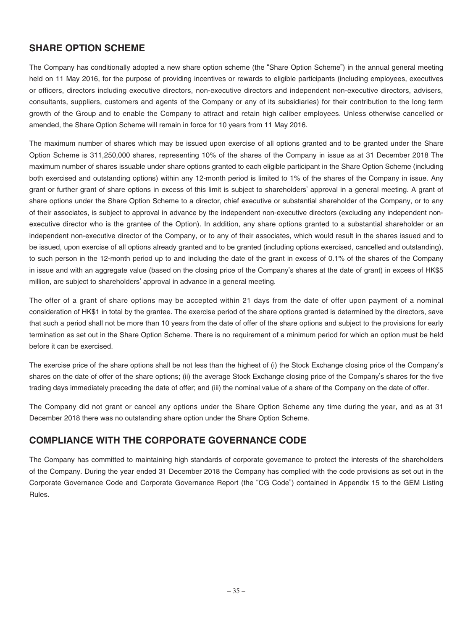# **SHARE OPTION SCHEME**

The Company has conditionally adopted a new share option scheme (the "Share Option Scheme") in the annual general meeting held on 11 May 2016, for the purpose of providing incentives or rewards to eligible participants (including employees, executives or officers, directors including executive directors, non-executive directors and independent non-executive directors, advisers, consultants, suppliers, customers and agents of the Company or any of its subsidiaries) for their contribution to the long term growth of the Group and to enable the Company to attract and retain high caliber employees. Unless otherwise cancelled or amended, the Share Option Scheme will remain in force for 10 years from 11 May 2016.

The maximum number of shares which may be issued upon exercise of all options granted and to be granted under the Share Option Scheme is 311,250,000 shares, representing 10% of the shares of the Company in issue as at 31 December 2018 The maximum number of shares issuable under share options granted to each eligible participant in the Share Option Scheme (including both exercised and outstanding options) within any 12-month period is limited to 1% of the shares of the Company in issue. Any grant or further grant of share options in excess of this limit is subject to shareholders' approval in a general meeting. A grant of share options under the Share Option Scheme to a director, chief executive or substantial shareholder of the Company, or to any of their associates, is subject to approval in advance by the independent non-executive directors (excluding any independent nonexecutive director who is the grantee of the Option). In addition, any share options granted to a substantial shareholder or an independent non-executive director of the Company, or to any of their associates, which would result in the shares issued and to be issued, upon exercise of all options already granted and to be granted (including options exercised, cancelled and outstanding), to such person in the 12-month period up to and including the date of the grant in excess of 0.1% of the shares of the Company in issue and with an aggregate value (based on the closing price of the Company's shares at the date of grant) in excess of HK\$5 million, are subject to shareholders' approval in advance in a general meeting.

The offer of a grant of share options may be accepted within 21 days from the date of offer upon payment of a nominal consideration of HK\$1 in total by the grantee. The exercise period of the share options granted is determined by the directors, save that such a period shall not be more than 10 years from the date of offer of the share options and subject to the provisions for early termination as set out in the Share Option Scheme. There is no requirement of a minimum period for which an option must be held before it can be exercised.

The exercise price of the share options shall be not less than the highest of (i) the Stock Exchange closing price of the Company's shares on the date of offer of the share options; (ii) the average Stock Exchange closing price of the Company's shares for the five trading days immediately preceding the date of offer; and (iii) the nominal value of a share of the Company on the date of offer.

The Company did not grant or cancel any options under the Share Option Scheme any time during the year, and as at 31 December 2018 there was no outstanding share option under the Share Option Scheme.

# **COMPLIANCE WITH THE CORPORATE GOVERNANCE CODE**

The Company has committed to maintaining high standards of corporate governance to protect the interests of the shareholders of the Company. During the year ended 31 December 2018 the Company has complied with the code provisions as set out in the Corporate Governance Code and Corporate Governance Report (the "CG Code") contained in Appendix 15 to the GEM Listing Rules.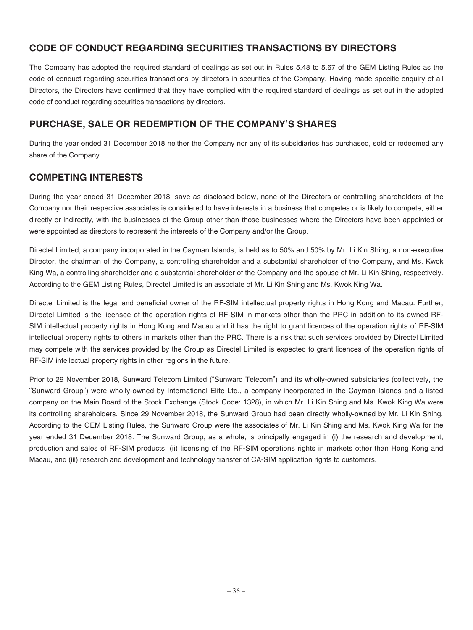# **CODE OF CONDUCT REGARDING SECURITIES TRANSACTIONS BY DIRECTORS**

The Company has adopted the required standard of dealings as set out in Rules 5.48 to 5.67 of the GEM Listing Rules as the code of conduct regarding securities transactions by directors in securities of the Company. Having made specific enquiry of all Directors, the Directors have confirmed that they have complied with the required standard of dealings as set out in the adopted code of conduct regarding securities transactions by directors.

# **PURCHASE, SALE OR REDEMPTION OF THE COMPANY'S SHARES**

During the year ended 31 December 2018 neither the Company nor any of its subsidiaries has purchased, sold or redeemed any share of the Company.

# **COMPETING INTERESTS**

During the year ended 31 December 2018, save as disclosed below, none of the Directors or controlling shareholders of the Company nor their respective associates is considered to have interests in a business that competes or is likely to compete, either directly or indirectly, with the businesses of the Group other than those businesses where the Directors have been appointed or were appointed as directors to represent the interests of the Company and/or the Group.

Directel Limited, a company incorporated in the Cayman Islands, is held as to 50% and 50% by Mr. Li Kin Shing, a non-executive Director, the chairman of the Company, a controlling shareholder and a substantial shareholder of the Company, and Ms. Kwok King Wa, a controlling shareholder and a substantial shareholder of the Company and the spouse of Mr. Li Kin Shing, respectively. According to the GEM Listing Rules, Directel Limited is an associate of Mr. Li Kin Shing and Ms. Kwok King Wa.

Directel Limited is the legal and beneficial owner of the RF-SIM intellectual property rights in Hong Kong and Macau. Further, Directel Limited is the licensee of the operation rights of RF-SIM in markets other than the PRC in addition to its owned RF-SIM intellectual property rights in Hong Kong and Macau and it has the right to grant licences of the operation rights of RF-SIM intellectual property rights to others in markets other than the PRC. There is a risk that such services provided by Directel Limited may compete with the services provided by the Group as Directel Limited is expected to grant licences of the operation rights of RF-SIM intellectual property rights in other regions in the future.

Prior to 29 November 2018, Sunward Telecom Limited ("Sunward Telecom") and its wholly-owned subsidiaries (collectively, the "Sunward Group") were wholly-owned by International Elite Ltd., a company incorporated in the Cayman Islands and a listed company on the Main Board of the Stock Exchange (Stock Code: 1328), in which Mr. Li Kin Shing and Ms. Kwok King Wa were its controlling shareholders. Since 29 November 2018, the Sunward Group had been directly wholly-owned by Mr. Li Kin Shing. According to the GEM Listing Rules, the Sunward Group were the associates of Mr. Li Kin Shing and Ms. Kwok King Wa for the year ended 31 December 2018. The Sunward Group, as a whole, is principally engaged in (i) the research and development, production and sales of RF-SIM products; (ii) licensing of the RF-SIM operations rights in markets other than Hong Kong and Macau, and (iii) research and development and technology transfer of CA-SIM application rights to customers.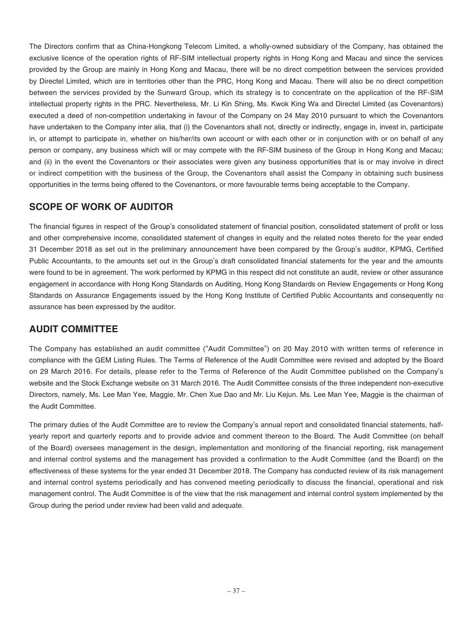The Directors confirm that as China-Hongkong Telecom Limited, a wholly-owned subsidiary of the Company, has obtained the exclusive licence of the operation rights of RF-SIM intellectual property rights in Hong Kong and Macau and since the services provided by the Group are mainly in Hong Kong and Macau, there will be no direct competition between the services provided by Directel Limited, which are in territories other than the PRC, Hong Kong and Macau. There will also be no direct competition between the services provided by the Sunward Group, which its strategy is to concentrate on the application of the RF-SIM intellectual property rights in the PRC. Nevertheless, Mr. Li Kin Shing, Ms. Kwok King Wa and Directel Limited (as Covenantors) executed a deed of non-competition undertaking in favour of the Company on 24 May 2010 pursuant to which the Covenantors have undertaken to the Company inter alia, that (i) the Covenantors shall not, directly or indirectly, engage in, invest in, participate in, or attempt to participate in, whether on his/her/its own account or with each other or in conjunction with or on behalf of any person or company, any business which will or may compete with the RF-SIM business of the Group in Hong Kong and Macau; and (ii) in the event the Covenantors or their associates were given any business opportunities that is or may involve in direct or indirect competition with the business of the Group, the Covenantors shall assist the Company in obtaining such business opportunities in the terms being offered to the Covenantors, or more favourable terms being acceptable to the Company.

# **SCOPE OF WORK OF AUDITOR**

The financial figures in respect of the Group's consolidated statement of financial position, consolidated statement of profit or loss and other comprehensive income, consolidated statement of changes in equity and the related notes thereto for the year ended 31 December 2018 as set out in the preliminary announcement have been compared by the Group's auditor, KPMG, Certified Public Accountants, to the amounts set out in the Group's draft consolidated financial statements for the year and the amounts were found to be in agreement. The work performed by KPMG in this respect did not constitute an audit, review or other assurance engagement in accordance with Hong Kong Standards on Auditing, Hong Kong Standards on Review Engagements or Hong Kong Standards on Assurance Engagements issued by the Hong Kong Institute of Certified Public Accountants and consequently no assurance has been expressed by the auditor.

# **AUDIT COMMITTEE**

The Company has established an audit committee ("Audit Committee") on 20 May 2010 with written terms of reference in compliance with the GEM Listing Rules. The Terms of Reference of the Audit Committee were revised and adopted by the Board on 29 March 2016. For details, please refer to the Terms of Reference of the Audit Committee published on the Company's website and the Stock Exchange website on 31 March 2016. The Audit Committee consists of the three independent non-executive Directors, namely, Ms. Lee Man Yee, Maggie, Mr. Chen Xue Dao and Mr. Liu Kejun. Ms. Lee Man Yee, Maggie is the chairman of the Audit Committee.

The primary duties of the Audit Committee are to review the Company's annual report and consolidated financial statements, halfyearly report and quarterly reports and to provide advice and comment thereon to the Board. The Audit Committee (on behalf of the Board) oversees management in the design, implementation and monitoring of the financial reporting, risk management and internal control systems and the management has provided a confirmation to the Audit Committee (and the Board) on the effectiveness of these systems for the year ended 31 December 2018. The Company has conducted review of its risk management and internal control systems periodically and has convened meeting periodically to discuss the financial, operational and risk management control. The Audit Committee is of the view that the risk management and internal control system implemented by the Group during the period under review had been valid and adequate.